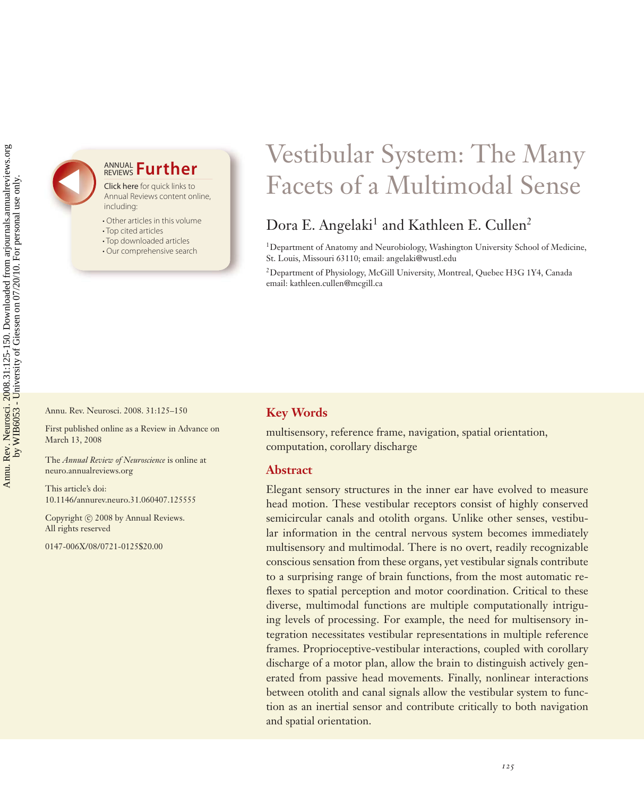

## Click here for quick links to **ANNUAL Further**

Annual Reviews content online, including:

- Other articles in this volume
- Top cited articles
- Top downloaded articles • Our comprehensive search
- 

# Vestibular System: The Many Facets of a Multimodal Sense

## Dora E. Angelaki<sup>1</sup> and Kathleen E. Cullen<sup>2</sup>

<sup>1</sup>Department of Anatomy and Neurobiology, Washington University School of Medicine, St. Louis, Missouri 63110; email: angelaki@wustl.edu

2Department of Physiology, McGill University, Montreal, Quebec H3G 1Y4, Canada email: kathleen.cullen@mcgill.ca

Annu. Rev. Neurosci. 2008. 31:125–150

First published online as a Review in Advance on March 13, 2008

The *Annual Review of Neuroscience* is online at neuro.annualreviews.org

This article's doi: 10.1146/annurev.neuro.31.060407.125555

Copyright  $\odot$  2008 by Annual Reviews. All rights reserved

0147-006X/08/0721-0125\$20.00

## **Key Words**

multisensory, reference frame, navigation, spatial orientation, computation, corollary discharge

#### **Abstract**

Elegant sensory structures in the inner ear have evolved to measure head motion. These vestibular receptors consist of highly conserved semicircular canals and otolith organs. Unlike other senses, vestibular information in the central nervous system becomes immediately multisensory and multimodal. There is no overt, readily recognizable conscious sensation from these organs, yet vestibular signals contribute to a surprising range of brain functions, from the most automatic reflexes to spatial perception and motor coordination. Critical to these diverse, multimodal functions are multiple computationally intriguing levels of processing. For example, the need for multisensory integration necessitates vestibular representations in multiple reference frames. Proprioceptive-vestibular interactions, coupled with corollary discharge of a motor plan, allow the brain to distinguish actively generated from passive head movements. Finally, nonlinear interactions between otolith and canal signals allow the vestibular system to function as an inertial sensor and contribute critically to both navigation and spatial orientation.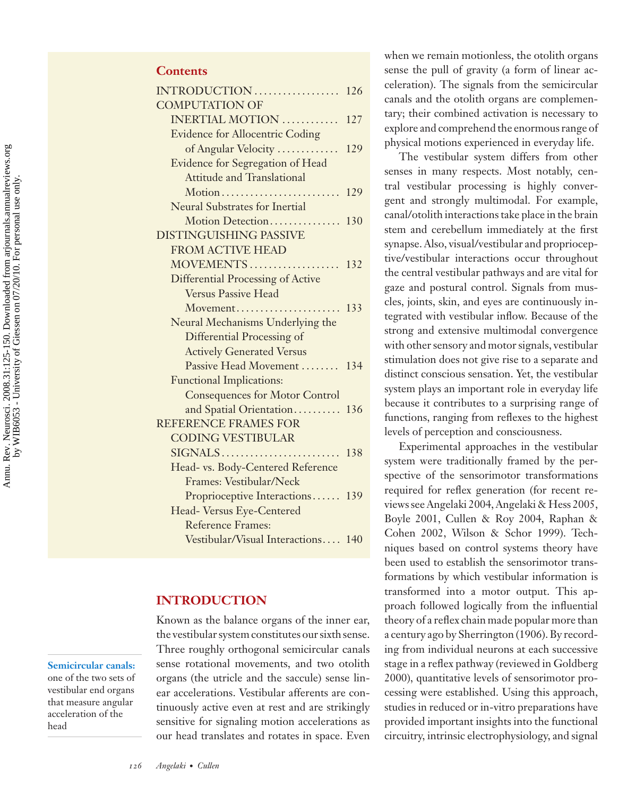#### **Contents**

| INTRODUCTION                           | 126 |
|----------------------------------------|-----|
| <b>COMPUTATION OF</b>                  |     |
| <b>INERTIAL MOTION</b><br>$\cdots$     | 127 |
| <b>Evidence for Allocentric Coding</b> |     |
| of Angular Velocity                    | 129 |
| Evidence for Segregation of Head       |     |
| <b>Attitude and Translational</b>      |     |
| Motion                                 | 129 |
| <b>Neural Substrates for Inertial</b>  |     |
| Motion Detection                       | 130 |
| <b>DISTINGUISHING PASSIVE</b>          |     |
| <b>FROM ACTIVE HEAD</b>                |     |
| MOVEMENTS<br>$\cdots$ 132              |     |
| Differential Processing of Active      |     |
| <b>Versus Passive Head</b>             |     |
| Movement                               | 133 |
| Neural Mechanisms Underlying the       |     |
| Differential Processing of             |     |
| <b>Actively Generated Versus</b>       |     |
| Passive Head Movement  134             |     |
| <b>Functional Implications:</b>        |     |
| <b>Consequences for Motor Control</b>  |     |
| and Spatial Orientation 136            |     |
| REFERENCE FRAMES FOR                   |     |
| <b>CODING VESTIBULAR</b>               |     |
|                                        |     |
| Head- vs. Body-Centered Reference      |     |
| Frames: Vestibular/Neck                |     |
| Proprioceptive Interactions 139        |     |
| Head- Versus Eye-Centered              |     |
| Reference Frames:                      |     |
| Vestibular/Visual Interactions 140     |     |

### **INTRODUCTION**

Known as the balance organs of the inner ear, the vestibular system constitutes our sixth sense. Three roughly orthogonal semicircular canals sense rotational movements, and two otolith organs (the utricle and the saccule) sense linear accelerations. Vestibular afferents are continuously active even at rest and are strikingly sensitive for signaling motion accelerations as our head translates and rotates in space. Even

when we remain motionless, the otolith organs sense the pull of gravity (a form of linear acceleration). The signals from the semicircular canals and the otolith organs are complementary; their combined activation is necessary to explore and comprehend the enormous range of physical motions experienced in everyday life.

The vestibular system differs from other senses in many respects. Most notably, central vestibular processing is highly convergent and strongly multimodal. For example, canal/otolith interactions take place in the brain stem and cerebellum immediately at the first synapse. Also, visual/vestibular and proprioceptive/vestibular interactions occur throughout the central vestibular pathways and are vital for gaze and postural control. Signals from muscles, joints, skin, and eyes are continuously integrated with vestibular inflow. Because of the strong and extensive multimodal convergence with other sensory and motor signals, vestibular stimulation does not give rise to a separate and distinct conscious sensation. Yet, the vestibular system plays an important role in everyday life because it contributes to a surprising range of functions, ranging from reflexes to the highest levels of perception and consciousness.

Experimental approaches in the vestibular system were traditionally framed by the perspective of the sensorimotor transformations required for reflex generation (for recent reviews see Angelaki 2004, Angelaki & Hess 2005, Boyle 2001, Cullen & Roy 2004, Raphan & Cohen 2002, Wilson & Schor 1999). Techniques based on control systems theory have been used to establish the sensorimotor transformations by which vestibular information is transformed into a motor output. This approach followed logically from the influential theory of a reflex chain made popular more than a century ago by Sherrington (1906). By recording from individual neurons at each successive stage in a reflex pathway (reviewed in Goldberg 2000), quantitative levels of sensorimotor processing were established. Using this approach, studies in reduced or in-vitro preparations have provided important insights into the functional circuitry, intrinsic electrophysiology, and signal

**Semicircular canals:** one of the two sets of vestibular end organs that measure angular acceleration of the

head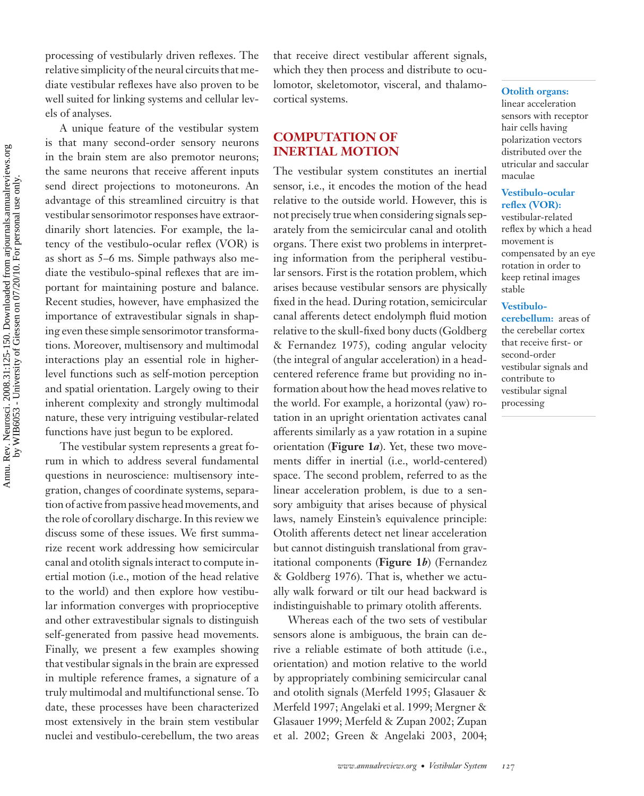processing of vestibularly driven reflexes. The relative simplicity of the neural circuits that mediate vestibular reflexes have also proven to be well suited for linking systems and cellular levels of analyses.

A unique feature of the vestibular system is that many second-order sensory neurons in the brain stem are also premotor neurons; the same neurons that receive afferent inputs send direct projections to motoneurons. An advantage of this streamlined circuitry is that vestibular sensorimotor responses have extraordinarily short latencies. For example, the latency of the vestibulo-ocular reflex (VOR) is as short as 5–6 ms. Simple pathways also mediate the vestibulo-spinal reflexes that are important for maintaining posture and balance. Recent studies, however, have emphasized the importance of extravestibular signals in shaping even these simple sensorimotor transformations. Moreover, multisensory and multimodal interactions play an essential role in higherlevel functions such as self-motion perception and spatial orientation. Largely owing to their inherent complexity and strongly multimodal nature, these very intriguing vestibular-related functions have just begun to be explored.

The vestibular system represents a great forum in which to address several fundamental questions in neuroscience: multisensory integration, changes of coordinate systems, separation of active from passive head movements, and the role of corollary discharge. In this review we discuss some of these issues. We first summarize recent work addressing how semicircular canal and otolith signals interact to compute inertial motion (i.e., motion of the head relative to the world) and then explore how vestibular information converges with proprioceptive and other extravestibular signals to distinguish self-generated from passive head movements. Finally, we present a few examples showing that vestibular signals in the brain are expressed in multiple reference frames, a signature of a truly multimodal and multifunctional sense. To date, these processes have been characterized most extensively in the brain stem vestibular nuclei and vestibulo-cerebellum, the two areas

that receive direct vestibular afferent signals, which they then process and distribute to oculomotor, skeletomotor, visceral, and thalamocortical systems.

## **COMPUTATION OF INERTIAL MOTION**

The vestibular system constitutes an inertial sensor, i.e., it encodes the motion of the head relative to the outside world. However, this is not precisely true when considering signals separately from the semicircular canal and otolith organs. There exist two problems in interpreting information from the peripheral vestibular sensors. First is the rotation problem, which arises because vestibular sensors are physically fixed in the head. During rotation, semicircular canal afferents detect endolymph fluid motion relative to the skull-fixed bony ducts (Goldberg & Fernandez 1975), coding angular velocity (the integral of angular acceleration) in a headcentered reference frame but providing no information about how the head moves relative to the world. For example, a horizontal (yaw) rotation in an upright orientation activates canal afferents similarly as a yaw rotation in a supine orientation (**Figure 1***a*). Yet, these two movements differ in inertial (i.e., world-centered) space. The second problem, referred to as the linear acceleration problem, is due to a sensory ambiguity that arises because of physical laws, namely Einstein's equivalence principle: Otolith afferents detect net linear acceleration but cannot distinguish translational from gravitational components (**Figure 1***b*) (Fernandez & Goldberg 1976). That is, whether we actually walk forward or tilt our head backward is indistinguishable to primary otolith afferents.

Whereas each of the two sets of vestibular sensors alone is ambiguous, the brain can derive a reliable estimate of both attitude (i.e., orientation) and motion relative to the world by appropriately combining semicircular canal and otolith signals (Merfeld 1995; Glasauer & Merfeld 1997; Angelaki et al. 1999; Mergner & Glasauer 1999; Merfeld & Zupan 2002; Zupan et al. 2002; Green & Angelaki 2003, 2004;

#### **Otolith organs:**

linear acceleration sensors with receptor hair cells having polarization vectors distributed over the utricular and saccular maculae

#### **Vestibulo-ocular reflex (VOR):**

vestibular-related reflex by which a head movement is compensated by an eye rotation in order to keep retinal images stable

#### **Vestibulo-**

**cerebellum:** areas of the cerebellar cortex that receive first- or second-order vestibular signals and contribute to vestibular signal processing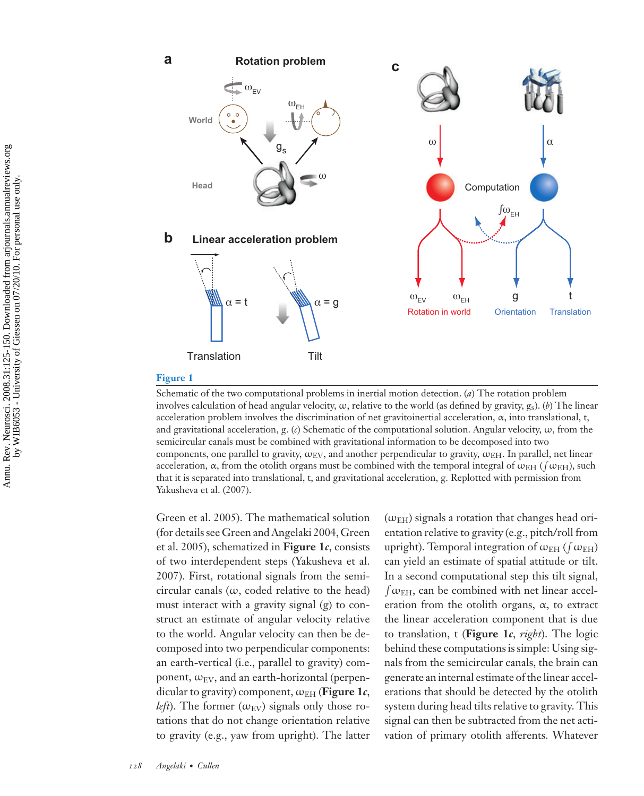

#### **Figure 1**

Schematic of the two computational problems in inertial motion detection. (*a*) The rotation problem involves calculation of head angular velocity, ω, relative to the world (as defined by gravity, gs). (*b*) The linear acceleration problem involves the discrimination of net gravitoinertial acceleration, α, into translational, t, and gravitational acceleration, g. (*c*) Schematic of the computational solution. Angular velocity, ω, from the semicircular canals must be combined with gravitational information to be decomposed into two components, one parallel to gravity,  $\omega_{EV}$ , and another perpendicular to gravity,  $\omega_{EH}$ . In parallel, net linear acceleration,  $\alpha$ , from the otolith organs must be combined with the temporal integral of  $\omega_{\rm EH}$  ( $\int \omega_{\rm EH}$ ), such that it is separated into translational, t, and gravitational acceleration, g. Replotted with permission from Yakusheva et al. (2007).

Green et al. 2005). The mathematical solution (for details see Green and Angelaki 2004, Green et al. 2005), schematized in **Figure 1***c*, consists of two interdependent steps (Yakusheva et al. 2007). First, rotational signals from the semicircular canals ( $\omega$ , coded relative to the head) must interact with a gravity signal (g) to construct an estimate of angular velocity relative to the world. Angular velocity can then be decomposed into two perpendicular components: an earth-vertical (i.e., parallel to gravity) component,  $\omega_{EV}$ , and an earth-horizontal (perpendicular to gravity) component,  $\omega_{EH}$  (**Figure 1***c*, *left*). The former  $(\omega_{EV})$  signals only those rotations that do not change orientation relative to gravity (e.g., yaw from upright). The latter

 $(\omega_{EH})$  signals a rotation that changes head orientation relative to gravity (e.g., pitch/roll from upright). Temporal integration of  $\omega_{\text{EH}}$  ( $\int \omega_{\text{EH}}$ ) can yield an estimate of spatial attitude or tilt. In a second computational step this tilt signal,  $\int \omega_{\rm EH}$ , can be combined with net linear acceleration from the otolith organs,  $\alpha$ , to extract the linear acceleration component that is due to translation, t (**Figure 1***c*, *right*). The logic behind these computations is simple: Using signals from the semicircular canals, the brain can generate an internal estimate of the linear accelerations that should be detected by the otolith system during head tilts relative to gravity. This signal can then be subtracted from the net activation of primary otolith afferents. Whatever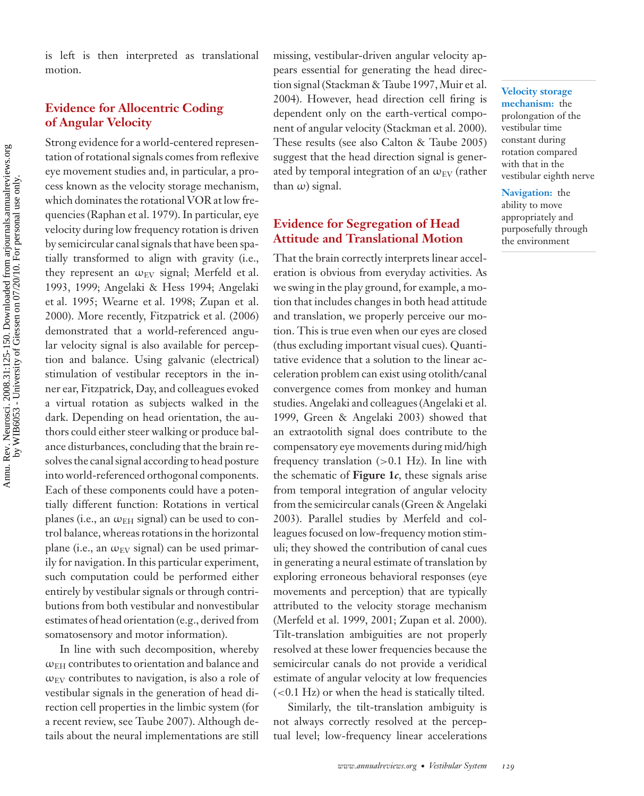is left is then interpreted as translational motion.

## **Evidence for Allocentric Coding of Angular Velocity**

Strong evidence for a world-centered representation of rotational signals comes from reflexive eye movement studies and, in particular, a process known as the velocity storage mechanism, which dominates the rotational VOR at low frequencies (Raphan et al. 1979). In particular, eye velocity during low frequency rotation is driven by semicircular canal signals that have been spatially transformed to align with gravity (i.e., they represent an  $\omega_{EV}$  signal; Merfeld et al. 1993, 1999; Angelaki & Hess 1994; Angelaki et al. 1995; Wearne et al. 1998; Zupan et al. 2000). More recently, Fitzpatrick et al. (2006) demonstrated that a world-referenced angular velocity signal is also available for perception and balance. Using galvanic (electrical) stimulation of vestibular receptors in the inner ear, Fitzpatrick, Day, and colleagues evoked a virtual rotation as subjects walked in the dark. Depending on head orientation, the authors could either steer walking or produce balance disturbances, concluding that the brain resolves the canal signal according to head posture into world-referenced orthogonal components. Each of these components could have a potentially different function: Rotations in vertical planes (i.e., an  $\omega_{EH}$  signal) can be used to control balance, whereas rotations in the horizontal plane (i.e., an  $\omega_{EV}$  signal) can be used primarily for navigation. In this particular experiment, such computation could be performed either entirely by vestibular signals or through contributions from both vestibular and nonvestibular estimates of head orientation (e.g., derived from somatosensory and motor information).

In line with such decomposition, whereby  $\omega_{EH}$  contributes to orientation and balance and  $\omega_{\text{EV}}$  contributes to navigation, is also a role of vestibular signals in the generation of head direction cell properties in the limbic system (for a recent review, see Taube 2007). Although details about the neural implementations are still

missing, vestibular-driven angular velocity appears essential for generating the head direction signal (Stackman & Taube 1997, Muir et al. 2004). However, head direction cell firing is dependent only on the earth-vertical component of angular velocity (Stackman et al. 2000). These results (see also Calton & Taube 2005) suggest that the head direction signal is generated by temporal integration of an  $\omega_{EV}$  (rather than  $\omega$ ) signal.

## **Evidence for Segregation of Head Attitude and Translational Motion**

That the brain correctly interprets linear acceleration is obvious from everyday activities. As we swing in the play ground, for example, a motion that includes changes in both head attitude and translation, we properly perceive our motion. This is true even when our eyes are closed (thus excluding important visual cues). Quantitative evidence that a solution to the linear acceleration problem can exist using otolith/canal convergence comes from monkey and human studies. Angelaki and colleagues (Angelaki et al. 1999, Green & Angelaki 2003) showed that an extraotolith signal does contribute to the compensatory eye movements during mid/high frequency translation (>0.1 Hz). In line with the schematic of **Figure 1***c*, these signals arise from temporal integration of angular velocity from the semicircular canals (Green & Angelaki 2003). Parallel studies by Merfeld and colleagues focused on low-frequency motion stimuli; they showed the contribution of canal cues in generating a neural estimate of translation by exploring erroneous behavioral responses (eye movements and perception) that are typically attributed to the velocity storage mechanism (Merfeld et al. 1999, 2001; Zupan et al. 2000). Tilt-translation ambiguities are not properly resolved at these lower frequencies because the semicircular canals do not provide a veridical estimate of angular velocity at low frequencies (<0.1 Hz) or when the head is statically tilted.

Similarly, the tilt-translation ambiguity is not always correctly resolved at the perceptual level; low-frequency linear accelerations **Velocity storage mechanism:** the prolongation of the vestibular time constant during rotation compared with that in the vestibular eighth nerve

**Navigation:** the ability to move appropriately and purposefully through the environment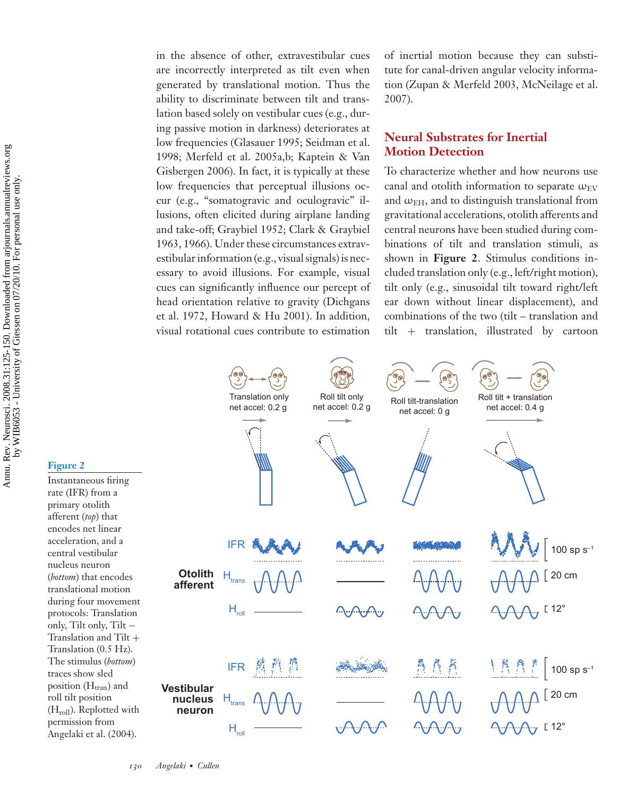in the absence of other, extravestibular cues are incorrectly interpreted as tilt even when generated by translational motion. Thus the ability to discriminate between tilt and translation based solely on vestibular cues (e.g., during passive motion in darkness) deteriorates at low frequencies (Glasauer 1995; Seidman et al. 1998; Merfeld et al. 2005a,b; Kaptein & Van Gisbergen 2006). In fact, it is typically at these low frequencies that perceptual illusions occur (e.g., "somatogravic and oculogravic" illusions, often elicited during airplane landing and take-off; Graybiel 1952; Clark & Graybiel 1963, 1966). Under these circumstances extravestibular information (e.g., visual signals) is necessary to avoid illusions. For example, visual cues can significantly influence our percept of head orientation relative to gravity (Dichgans et al. 1972, Howard & Hu 2001). In addition, visual rotational cues contribute to estimation

of inertial motion because they can substitute for canal-driven angular velocity information (Zupan & Merfeld 2003, McNeilage et al. 2007).

### **Neural Substrates for Inertial Motion Detection**

To characterize whether and how neurons use canal and otolith information to separate  $\omega_{EV}$ and  $\omega_{\text{EH}}$ , and to distinguish translational from gravitational accelerations, otolith afferents and central neurons have been studied during combinations of tilt and translation stimuli, as shown in **Figure 2**. Stimulus conditions included translation only (e.g., left/right motion), tilt only (e.g., sinusoidal tilt toward right/left ear down without linear displacement), and combinations of the two (tilt – translation and tilt + translation, illustrated by cartoon



**Figure 2**

Instantaneous firing rate (IFR) from a primary otolith afferent (*top*) that encodes net linear acceleration, and a central vestibular nucleus neuron (*bottom*) that encodes translational motion during four movement protocols: Translation only, Tilt only, Tilt − Translation and Tilt + Translation (0.5 Hz). The stimulus (*bottom*) traces show sled position  $(H_{tran})$  and roll tilt position  $(H_{roll})$ . Replotted with permission from Angelaki et al. (2004).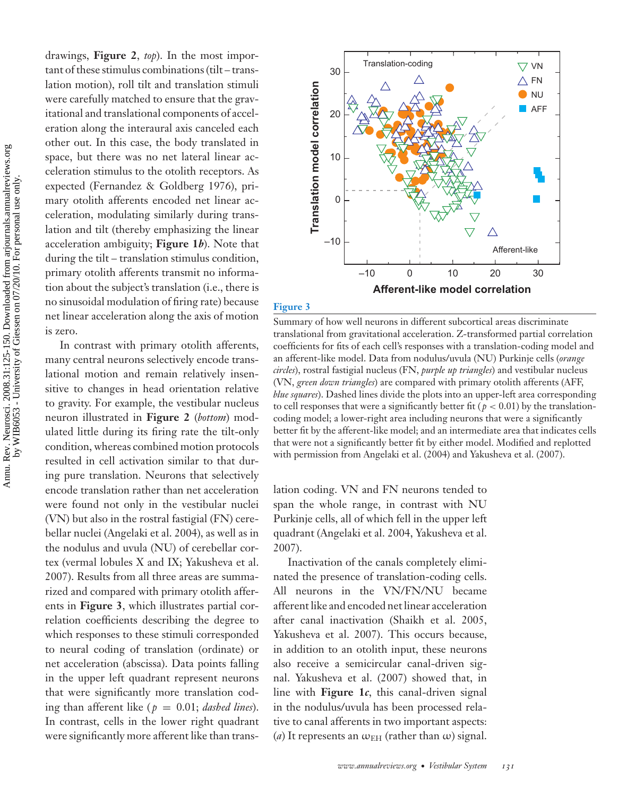drawings, **Figure 2**, *top*). In the most important of these stimulus combinations (tilt – translation motion), roll tilt and translation stimuli were carefully matched to ensure that the gravitational and translational components of acceleration along the interaural axis canceled each other out. In this case, the body translated in space, but there was no net lateral linear acceleration stimulus to the otolith receptors. As expected (Fernandez & Goldberg 1976), primary otolith afferents encoded net linear acceleration, modulating similarly during translation and tilt (thereby emphasizing the linear acceleration ambiguity; **Figure 1***b*). Note that during the tilt – translation stimulus condition, primary otolith afferents transmit no information about the subject's translation (i.e., there is no sinusoidal modulation of firing rate) because net linear acceleration along the axis of motion is zero.

In contrast with primary otolith afferents, many central neurons selectively encode translational motion and remain relatively insensitive to changes in head orientation relative to gravity. For example, the vestibular nucleus neuron illustrated in **Figure 2** (*bottom*) modulated little during its firing rate the tilt-only condition, whereas combined motion protocols resulted in cell activation similar to that during pure translation. Neurons that selectively encode translation rather than net acceleration were found not only in the vestibular nuclei (VN) but also in the rostral fastigial (FN) cerebellar nuclei (Angelaki et al. 2004), as well as in the nodulus and uvula (NU) of cerebellar cortex (vermal lobules X and IX; Yakusheva et al. 2007). Results from all three areas are summarized and compared with primary otolith afferents in **Figure 3**, which illustrates partial correlation coefficients describing the degree to which responses to these stimuli corresponded to neural coding of translation (ordinate) or net acceleration (abscissa). Data points falling in the upper left quadrant represent neurons that were significantly more translation coding than afferent like ( $p = 0.01$ ; *dashed lines*). In contrast, cells in the lower right quadrant were significantly more afferent like than trans-



#### **Figure 3**

Summary of how well neurons in different subcortical areas discriminate translational from gravitational acceleration. Z-transformed partial correlation coefficients for fits of each cell's responses with a translation-coding model and an afferent-like model. Data from nodulus/uvula (NU) Purkinje cells (*orange circles*), rostral fastigial nucleus (FN, *purple up triangles*) and vestibular nucleus (VN, *green down triangles*) are compared with primary otolith afferents (AFF, *blue squares*). Dashed lines divide the plots into an upper-left area corresponding to cell responses that were a significantly better fit ( $p < 0.01$ ) by the translationcoding model; a lower-right area including neurons that were a significantly better fit by the afferent-like model; and an intermediate area that indicates cells that were not a significantly better fit by either model. Modified and replotted with permission from Angelaki et al. (2004) and Yakusheva et al. (2007).

lation coding. VN and FN neurons tended to span the whole range, in contrast with NU Purkinje cells, all of which fell in the upper left quadrant (Angelaki et al. 2004, Yakusheva et al. 2007).

Inactivation of the canals completely eliminated the presence of translation-coding cells. All neurons in the VN/FN/NU became afferent like and encoded net linear acceleration after canal inactivation (Shaikh et al. 2005, Yakusheva et al. 2007). This occurs because, in addition to an otolith input, these neurons also receive a semicircular canal-driven signal. Yakusheva et al. (2007) showed that, in line with **Figure 1***c*, this canal-driven signal in the nodulus/uvula has been processed relative to canal afferents in two important aspects: (*a*) It represents an  $\omega_{EH}$  (rather than  $\omega$ ) signal.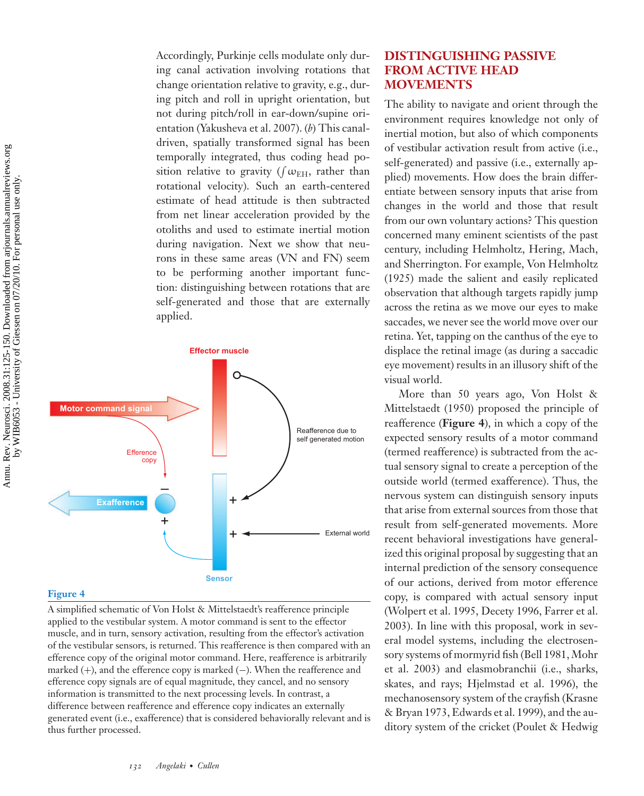Accordingly, Purkinje cells modulate only during canal activation involving rotations that change orientation relative to gravity, e.g., during pitch and roll in upright orientation, but not during pitch/roll in ear-down/supine orientation (Yakusheva et al. 2007). (*b*) This canaldriven, spatially transformed signal has been temporally integrated, thus coding head position relative to gravity ( $\int \omega_{\rm EH}$ , rather than rotational velocity). Such an earth-centered estimate of head attitude is then subtracted from net linear acceleration provided by the otoliths and used to estimate inertial motion during navigation. Next we show that neurons in these same areas (VN and FN) seem to be performing another important function: distinguishing between rotations that are self-generated and those that are externally applied.



#### **Figure 4**

A simplified schematic of Von Holst & Mittelstaedt's reafference principle applied to the vestibular system. A motor command is sent to the effector muscle, and in turn, sensory activation, resulting from the effector's activation of the vestibular sensors, is returned. This reafference is then compared with an efference copy of the original motor command. Here, reafference is arbitrarily marked (+), and the efference copy is marked (−). When the reafference and efference copy signals are of equal magnitude, they cancel, and no sensory information is transmitted to the next processing levels. In contrast, a difference between reafference and efference copy indicates an externally generated event (i.e., exafference) that is considered behaviorally relevant and is thus further processed.

## **DISTINGUISHING PASSIVE FROM ACTIVE HEAD MOVEMENTS**

The ability to navigate and orient through the environment requires knowledge not only of inertial motion, but also of which components of vestibular activation result from active (i.e., self-generated) and passive (i.e., externally applied) movements. How does the brain differentiate between sensory inputs that arise from changes in the world and those that result from our own voluntary actions? This question concerned many eminent scientists of the past century, including Helmholtz, Hering, Mach, and Sherrington. For example, Von Helmholtz (1925) made the salient and easily replicated observation that although targets rapidly jump across the retina as we move our eyes to make saccades, we never see the world move over our retina. Yet, tapping on the canthus of the eye to displace the retinal image (as during a saccadic eye movement) results in an illusory shift of the visual world.

More than 50 years ago, Von Holst & Mittelstaedt (1950) proposed the principle of reafference (**Figure 4**), in which a copy of the expected sensory results of a motor command (termed reafference) is subtracted from the actual sensory signal to create a perception of the outside world (termed exafference). Thus, the nervous system can distinguish sensory inputs that arise from external sources from those that result from self-generated movements. More recent behavioral investigations have generalized this original proposal by suggesting that an internal prediction of the sensory consequence of our actions, derived from motor efference copy, is compared with actual sensory input (Wolpert et al. 1995, Decety 1996, Farrer et al. 2003). In line with this proposal, work in several model systems, including the electrosensory systems of mormyrid fish (Bell 1981, Mohr et al. 2003) and elasmobranchii (i.e., sharks, skates, and rays; Hjelmstad et al. 1996), the mechanosensory system of the crayfish (Krasne & Bryan 1973, Edwards et al. 1999), and the auditory system of the cricket (Poulet & Hedwig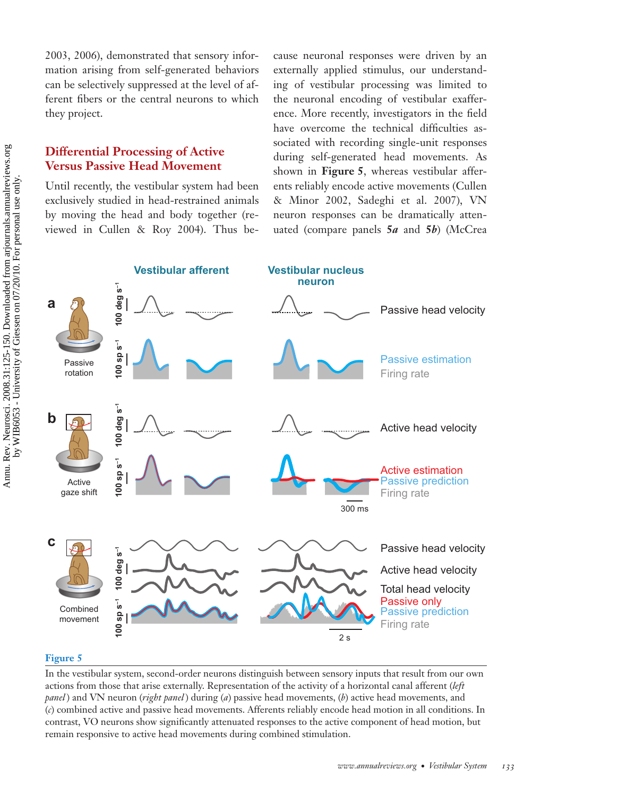2003, 2006), demonstrated that sensory information arising from self-generated behaviors can be selectively suppressed at the level of afferent fibers or the central neurons to which they project.

### **Differential Processing of Active Versus Passive Head Movement**

Until recently, the vestibular system had been exclusively studied in head-restrained animals by moving the head and body together (reviewed in Cullen & Roy 2004). Thus be-

cause neuronal responses were driven by an externally applied stimulus, our understanding of vestibular processing was limited to the neuronal encoding of vestibular exafference. More recently, investigators in the field have overcome the technical difficulties associated with recording single-unit responses during self-generated head movements. As shown in **Figure 5**, whereas vestibular afferents reliably encode active movements (Cullen & Minor 2002, Sadeghi et al. 2007), VN neuron responses can be dramatically attenuated (compare panels **5***a* and **5***b*) (McCrea



#### **Figure 5**

In the vestibular system, second-order neurons distinguish between sensory inputs that result from our own actions from those that arise externally. Representation of the activity of a horizontal canal afferent (*left panel* ) and VN neuron (*right panel* ) during (*a*) passive head movements, (*b*) active head movements, and (*c*) combined active and passive head movements. Afferents reliably encode head motion in all conditions. In contrast, VO neurons show significantly attenuated responses to the active component of head motion, but remain responsive to active head movements during combined stimulation.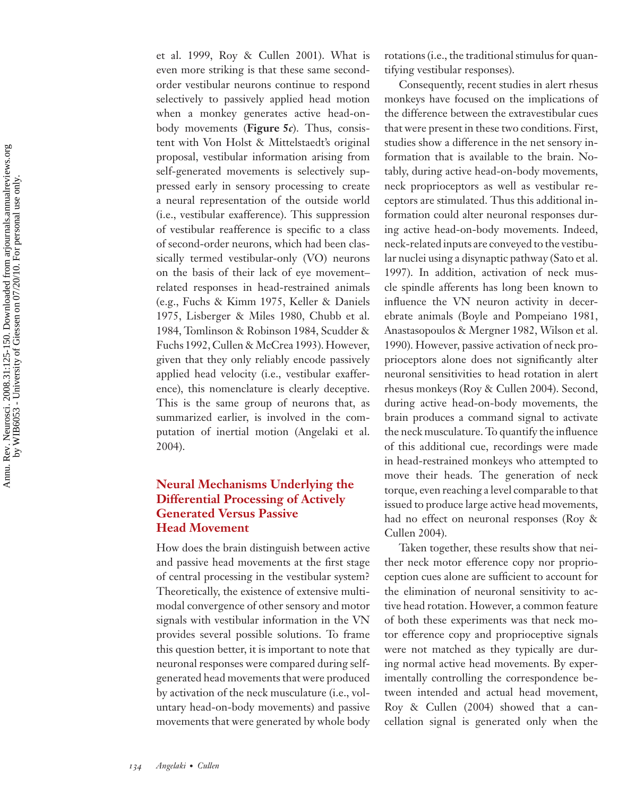et al. 1999, Roy & Cullen 2001). What is even more striking is that these same secondorder vestibular neurons continue to respond selectively to passively applied head motion when a monkey generates active head-onbody movements (**Figure 5***c*). Thus, consistent with Von Holst & Mittelstaedt's original proposal, vestibular information arising from self-generated movements is selectively suppressed early in sensory processing to create a neural representation of the outside world (i.e., vestibular exafference). This suppression of vestibular reafference is specific to a class of second-order neurons, which had been classically termed vestibular-only (VO) neurons on the basis of their lack of eye movement– related responses in head-restrained animals (e.g., Fuchs & Kimm 1975, Keller & Daniels 1975, Lisberger & Miles 1980, Chubb et al. 1984, Tomlinson & Robinson 1984, Scudder & Fuchs 1992, Cullen & McCrea 1993). However, given that they only reliably encode passively applied head velocity (i.e., vestibular exafference), this nomenclature is clearly deceptive. This is the same group of neurons that, as summarized earlier, is involved in the computation of inertial motion (Angelaki et al. 2004).

## **Neural Mechanisms Underlying the Differential Processing of Actively Generated Versus Passive Head Movement**

How does the brain distinguish between active and passive head movements at the first stage of central processing in the vestibular system? Theoretically, the existence of extensive multimodal convergence of other sensory and motor signals with vestibular information in the VN provides several possible solutions. To frame this question better, it is important to note that neuronal responses were compared during selfgenerated head movements that were produced by activation of the neck musculature (i.e., voluntary head-on-body movements) and passive movements that were generated by whole body rotations (i.e., the traditional stimulus for quantifying vestibular responses).

Consequently, recent studies in alert rhesus monkeys have focused on the implications of the difference between the extravestibular cues that were present in these two conditions. First, studies show a difference in the net sensory information that is available to the brain. Notably, during active head-on-body movements, neck proprioceptors as well as vestibular receptors are stimulated. Thus this additional information could alter neuronal responses during active head-on-body movements. Indeed, neck-related inputs are conveyed to the vestibular nuclei using a disynaptic pathway (Sato et al. 1997). In addition, activation of neck muscle spindle afferents has long been known to influence the VN neuron activity in decerebrate animals (Boyle and Pompeiano 1981, Anastasopoulos & Mergner 1982, Wilson et al. 1990). However, passive activation of neck proprioceptors alone does not significantly alter neuronal sensitivities to head rotation in alert rhesus monkeys (Roy & Cullen 2004). Second, during active head-on-body movements, the brain produces a command signal to activate the neck musculature. To quantify the influence of this additional cue, recordings were made in head-restrained monkeys who attempted to move their heads. The generation of neck torque, even reaching a level comparable to that issued to produce large active head movements, had no effect on neuronal responses (Roy & Cullen 2004).

Taken together, these results show that neither neck motor efference copy nor proprioception cues alone are sufficient to account for the elimination of neuronal sensitivity to active head rotation. However, a common feature of both these experiments was that neck motor efference copy and proprioceptive signals were not matched as they typically are during normal active head movements. By experimentally controlling the correspondence between intended and actual head movement, Roy & Cullen (2004) showed that a cancellation signal is generated only when the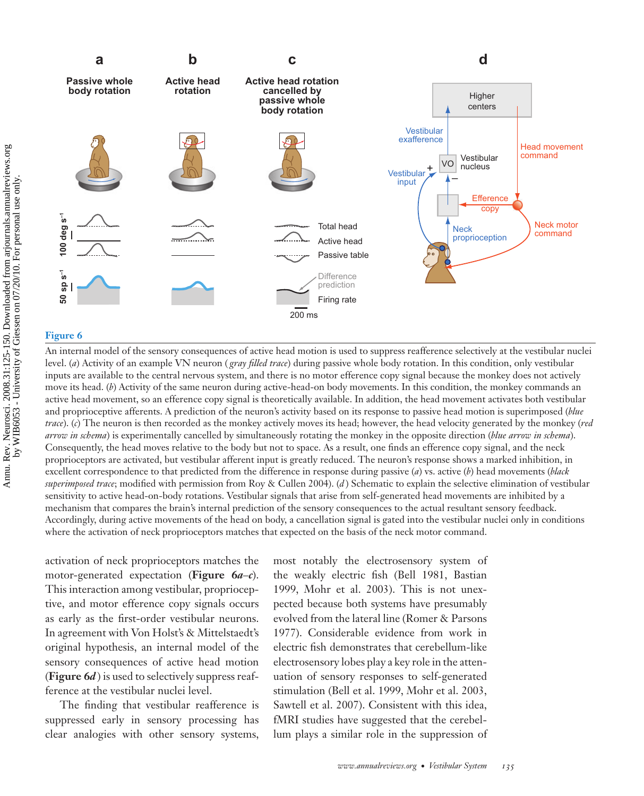

#### **Figure 6**

An internal model of the sensory consequences of active head motion is used to suppress reafference selectively at the vestibular nuclei level. (*a*) Activity of an example VN neuron (*gray filled trace*) during passive whole body rotation. In this condition, only vestibular inputs are available to the central nervous system, and there is no motor efference copy signal because the monkey does not actively move its head. (*b*) Activity of the same neuron during active-head-on body movements. In this condition, the monkey commands an active head movement, so an efference copy signal is theoretically available. In addition, the head movement activates both vestibular and proprioceptive afferents. A prediction of the neuron's activity based on its response to passive head motion is superimposed (*blue trace*). (*c*) The neuron is then recorded as the monkey actively moves its head; however, the head velocity generated by the monkey (*red arrow in schema*) is experimentally cancelled by simultaneously rotating the monkey in the opposite direction (*blue arrow in schema*). Consequently, the head moves relative to the body but not to space. As a result, one finds an efference copy signal, and the neck proprioceptors are activated, but vestibular afferent input is greatly reduced. The neuron's response shows a marked inhibition, in excellent correspondence to that predicted from the difference in response during passive (*a*) vs. active (*b*) head movements (*black superimposed trace*; modified with permission from Roy & Cullen 2004). (*d* ) Schematic to explain the selective elimination of vestibular sensitivity to active head-on-body rotations. Vestibular signals that arise from self-generated head movements are inhibited by a mechanism that compares the brain's internal prediction of the sensory consequences to the actual resultant sensory feedback. Accordingly, during active movements of the head on body, a cancellation signal is gated into the vestibular nuclei only in conditions where the activation of neck proprioceptors matches that expected on the basis of the neck motor command.

activation of neck proprioceptors matches the motor-generated expectation (**Figure 6***a*–*c*). This interaction among vestibular, proprioceptive, and motor efference copy signals occurs as early as the first-order vestibular neurons. In agreement with Von Holst's & Mittelstaedt's original hypothesis, an internal model of the sensory consequences of active head motion (**Figure 6***d* ) is used to selectively suppress reafference at the vestibular nuclei level.

The finding that vestibular reafference is suppressed early in sensory processing has clear analogies with other sensory systems, most notably the electrosensory system of the weakly electric fish (Bell 1981, Bastian 1999, Mohr et al. 2003). This is not unexpected because both systems have presumably evolved from the lateral line (Romer & Parsons 1977). Considerable evidence from work in electric fish demonstrates that cerebellum-like electrosensory lobes play a key role in the attenuation of sensory responses to self-generated stimulation (Bell et al. 1999, Mohr et al. 2003, Sawtell et al. 2007). Consistent with this idea, fMRI studies have suggested that the cerebellum plays a similar role in the suppression of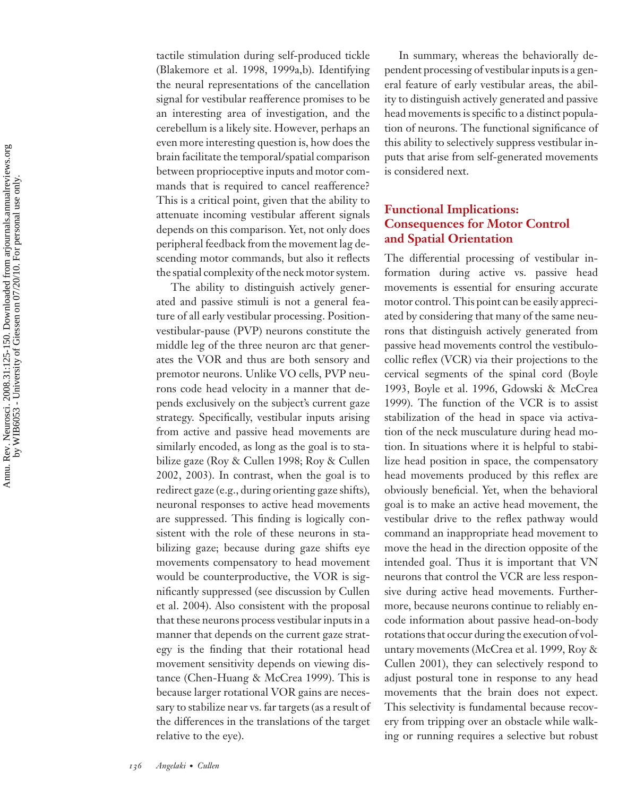tactile stimulation during self-produced tickle (Blakemore et al. 1998, 1999a,b). Identifying the neural representations of the cancellation signal for vestibular reafference promises to be an interesting area of investigation, and the cerebellum is a likely site. However, perhaps an even more interesting question is, how does the brain facilitate the temporal/spatial comparison between proprioceptive inputs and motor commands that is required to cancel reafference? This is a critical point, given that the ability to attenuate incoming vestibular afferent signals depends on this comparison. Yet, not only does peripheral feedback from the movement lag descending motor commands, but also it reflects the spatial complexity of the neck motor system.

The ability to distinguish actively generated and passive stimuli is not a general feature of all early vestibular processing. Positionvestibular-pause (PVP) neurons constitute the middle leg of the three neuron arc that generates the VOR and thus are both sensory and premotor neurons. Unlike VO cells, PVP neurons code head velocity in a manner that depends exclusively on the subject's current gaze strategy. Specifically, vestibular inputs arising from active and passive head movements are similarly encoded, as long as the goal is to stabilize gaze (Roy & Cullen 1998; Roy & Cullen 2002, 2003). In contrast, when the goal is to redirect gaze (e.g., during orienting gaze shifts), neuronal responses to active head movements are suppressed. This finding is logically consistent with the role of these neurons in stabilizing gaze; because during gaze shifts eye movements compensatory to head movement would be counterproductive, the VOR is significantly suppressed (see discussion by Cullen et al. 2004). Also consistent with the proposal that these neurons process vestibular inputs in a manner that depends on the current gaze strategy is the finding that their rotational head movement sensitivity depends on viewing distance (Chen-Huang & McCrea 1999). This is because larger rotational VOR gains are necessary to stabilize near vs. far targets (as a result of the differences in the translations of the target relative to the eye).

In summary, whereas the behaviorally dependent processing of vestibular inputs is a general feature of early vestibular areas, the ability to distinguish actively generated and passive head movements is specific to a distinct population of neurons. The functional significance of this ability to selectively suppress vestibular inputs that arise from self-generated movements is considered next.

## **Functional Implications: Consequences for Motor Control and Spatial Orientation**

The differential processing of vestibular information during active vs. passive head movements is essential for ensuring accurate motor control. This point can be easily appreciated by considering that many of the same neurons that distinguish actively generated from passive head movements control the vestibulocollic reflex (VCR) via their projections to the cervical segments of the spinal cord (Boyle 1993, Boyle et al. 1996, Gdowski & McCrea 1999). The function of the VCR is to assist stabilization of the head in space via activation of the neck musculature during head motion. In situations where it is helpful to stabilize head position in space, the compensatory head movements produced by this reflex are obviously beneficial. Yet, when the behavioral goal is to make an active head movement, the vestibular drive to the reflex pathway would command an inappropriate head movement to move the head in the direction opposite of the intended goal. Thus it is important that VN neurons that control the VCR are less responsive during active head movements. Furthermore, because neurons continue to reliably encode information about passive head-on-body rotations that occur during the execution of voluntary movements (McCrea et al. 1999, Roy & Cullen 2001), they can selectively respond to adjust postural tone in response to any head movements that the brain does not expect. This selectivity is fundamental because recovery from tripping over an obstacle while walking or running requires a selective but robust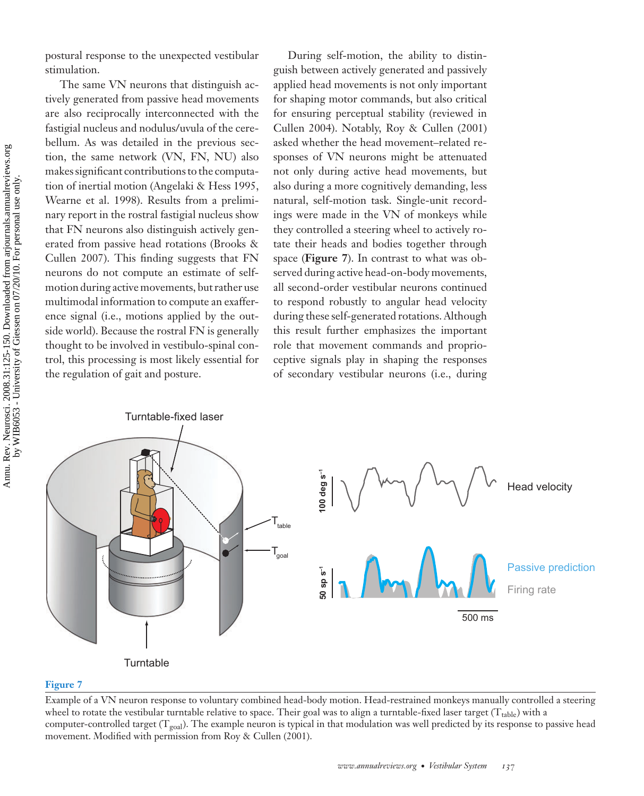postural response to the unexpected vestibular stimulation.

The same VN neurons that distinguish actively generated from passive head movements are also reciprocally interconnected with the fastigial nucleus and nodulus/uvula of the cerebellum. As was detailed in the previous section, the same network (VN, FN, NU) also makes significant contributions to the computation of inertial motion (Angelaki & Hess 1995, Wearne et al. 1998). Results from a preliminary report in the rostral fastigial nucleus show that FN neurons also distinguish actively generated from passive head rotations (Brooks & Cullen 2007). This finding suggests that FN neurons do not compute an estimate of selfmotion during active movements, but rather use multimodal information to compute an exafference signal (i.e., motions applied by the outside world). Because the rostral FN is generally thought to be involved in vestibulo-spinal control, this processing is most likely essential for the regulation of gait and posture.

During self-motion, the ability to distinguish between actively generated and passively applied head movements is not only important for shaping motor commands, but also critical for ensuring perceptual stability (reviewed in Cullen 2004). Notably, Roy & Cullen (2001) asked whether the head movement–related responses of VN neurons might be attenuated not only during active head movements, but also during a more cognitively demanding, less natural, self-motion task. Single-unit recordings were made in the VN of monkeys while they controlled a steering wheel to actively rotate their heads and bodies together through space (**Figure 7**). In contrast to what was observed during active head-on-body movements, all second-order vestibular neurons continued to respond robustly to angular head velocity during these self-generated rotations. Although this result further emphasizes the important role that movement commands and proprioceptive signals play in shaping the responses of secondary vestibular neurons (i.e., during



#### **Figure 7**

Example of a VN neuron response to voluntary combined head-body motion. Head-restrained monkeys manually controlled a steering wheel to rotate the vestibular turntable relative to space. Their goal was to align a turntable-fixed laser target ( $T_{\text{table}}$ ) with a computer-controlled target ( $T_{goal}$ ). The example neuron is typical in that modulation was well predicted by its response to passive head movement. Modified with permission from Roy & Cullen (2001).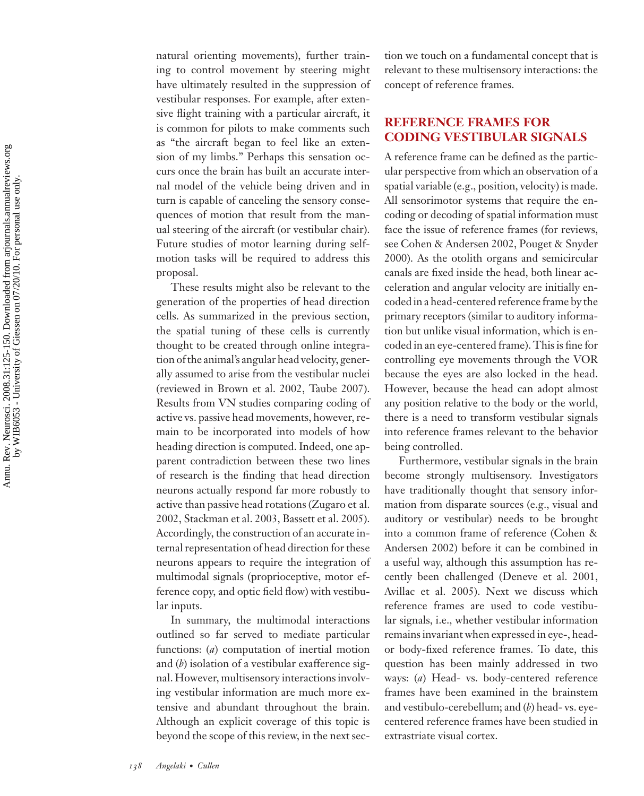natural orienting movements), further training to control movement by steering might have ultimately resulted in the suppression of vestibular responses. For example, after extensive flight training with a particular aircraft, it is common for pilots to make comments such as "the aircraft began to feel like an extension of my limbs." Perhaps this sensation occurs once the brain has built an accurate internal model of the vehicle being driven and in turn is capable of canceling the sensory consequences of motion that result from the manual steering of the aircraft (or vestibular chair). Future studies of motor learning during selfmotion tasks will be required to address this proposal.

These results might also be relevant to the generation of the properties of head direction cells. As summarized in the previous section, the spatial tuning of these cells is currently thought to be created through online integration of the animal's angular head velocity, generally assumed to arise from the vestibular nuclei (reviewed in Brown et al. 2002, Taube 2007). Results from VN studies comparing coding of active vs. passive head movements, however, remain to be incorporated into models of how heading direction is computed. Indeed, one apparent contradiction between these two lines of research is the finding that head direction neurons actually respond far more robustly to active than passive head rotations (Zugaro et al. 2002, Stackman et al. 2003, Bassett et al. 2005). Accordingly, the construction of an accurate internal representation of head direction for these neurons appears to require the integration of multimodal signals (proprioceptive, motor efference copy, and optic field flow) with vestibular inputs.

In summary, the multimodal interactions outlined so far served to mediate particular functions: (*a*) computation of inertial motion and (*b*) isolation of a vestibular exafference signal. However, multisensory interactions involving vestibular information are much more extensive and abundant throughout the brain. Although an explicit coverage of this topic is beyond the scope of this review, in the next section we touch on a fundamental concept that is relevant to these multisensory interactions: the concept of reference frames.

## **REFERENCE FRAMES FOR CODING VESTIBULAR SIGNALS**

A reference frame can be defined as the particular perspective from which an observation of a spatial variable (e.g., position, velocity) is made. All sensorimotor systems that require the encoding or decoding of spatial information must face the issue of reference frames (for reviews, see Cohen & Andersen 2002, Pouget & Snyder 2000). As the otolith organs and semicircular canals are fixed inside the head, both linear acceleration and angular velocity are initially encoded in a head-centered reference frame by the primary receptors (similar to auditory information but unlike visual information, which is encoded in an eye-centered frame). This is fine for controlling eye movements through the VOR because the eyes are also locked in the head. However, because the head can adopt almost any position relative to the body or the world, there is a need to transform vestibular signals into reference frames relevant to the behavior being controlled.

Furthermore, vestibular signals in the brain become strongly multisensory. Investigators have traditionally thought that sensory information from disparate sources (e.g., visual and auditory or vestibular) needs to be brought into a common frame of reference (Cohen & Andersen 2002) before it can be combined in a useful way, although this assumption has recently been challenged (Deneve et al. 2001, Avillac et al. 2005). Next we discuss which reference frames are used to code vestibular signals, i.e., whether vestibular information remains invariant when expressed in eye-, heador body-fixed reference frames. To date, this question has been mainly addressed in two ways: (*a*) Head- vs. body-centered reference frames have been examined in the brainstem and vestibulo-cerebellum; and (*b*) head- vs. eyecentered reference frames have been studied in extrastriate visual cortex.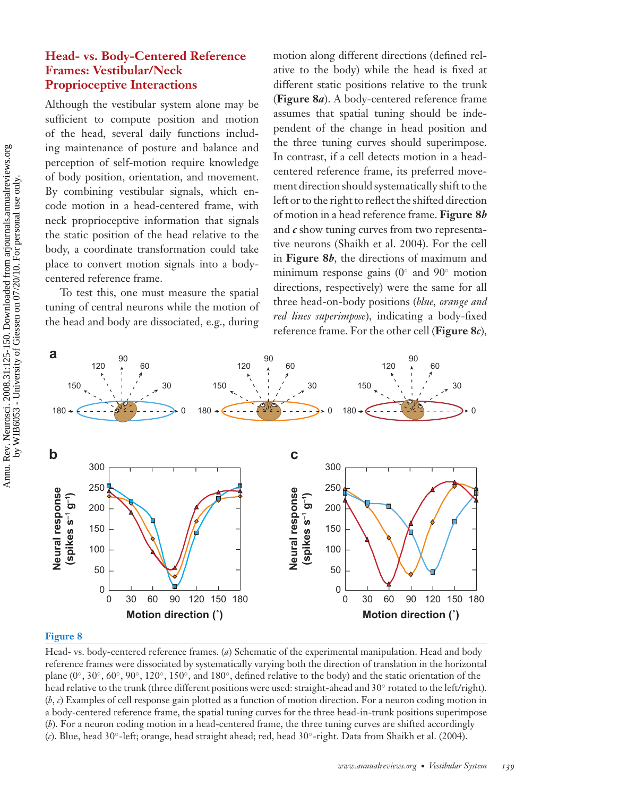## **Head- vs. Body-Centered Reference Frames: Vestibular/Neck Proprioceptive Interactions**

Although the vestibular system alone may be sufficient to compute position and motion of the head, several daily functions including maintenance of posture and balance and perception of self-motion require knowledge of body position, orientation, and movement. By combining vestibular signals, which encode motion in a head-centered frame, with neck proprioceptive information that signals the static position of the head relative to the body, a coordinate transformation could take place to convert motion signals into a bodycentered reference frame.

To test this, one must measure the spatial tuning of central neurons while the motion of the head and body are dissociated, e.g., during

motion along different directions (defined relative to the body) while the head is fixed at different static positions relative to the trunk (**Figure 8***a*). A body-centered reference frame assumes that spatial tuning should be independent of the change in head position and the three tuning curves should superimpose. In contrast, if a cell detects motion in a headcentered reference frame, its preferred movement direction should systematically shift to the left or to the right to reflect the shifted direction of motion in a head reference frame. **Figure 8***b* and *c* show tuning curves from two representative neurons (Shaikh et al. 2004). For the cell in **Figure 8***b*, the directions of maximum and minimum response gains (0◦ and 90◦ motion directions, respectively) were the same for all three head-on-body positions (*blue, orange and red lines superimpose*), indicating a body-fixed reference frame. For the other cell (**Figure 8***c*),



#### **Figure 8**

Head- vs. body-centered reference frames. (*a*) Schematic of the experimental manipulation. Head and body reference frames were dissociated by systematically varying both the direction of translation in the horizontal plane (0◦, 30◦, 60◦, 90◦, 120◦, 150◦, and 180◦, defined relative to the body) and the static orientation of the head relative to the trunk (three different positions were used: straight-ahead and 30◦ rotated to the left/right). (*b*, *c*) Examples of cell response gain plotted as a function of motion direction. For a neuron coding motion in a body-centered reference frame, the spatial tuning curves for the three head-in-trunk positions superimpose (*b*). For a neuron coding motion in a head-centered frame, the three tuning curves are shifted accordingly (*c*). Blue, head 30◦-left; orange, head straight ahead; red, head 30◦-right. Data from Shaikh et al. (2004).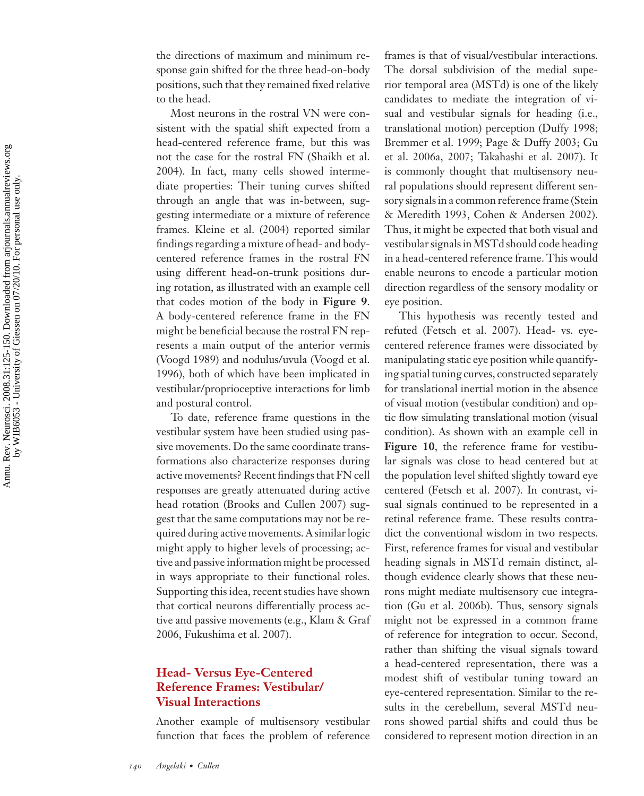the directions of maximum and minimum response gain shifted for the three head-on-body positions, such that they remained fixed relative to the head.

Most neurons in the rostral VN were consistent with the spatial shift expected from a head-centered reference frame, but this was not the case for the rostral FN (Shaikh et al. 2004). In fact, many cells showed intermediate properties: Their tuning curves shifted through an angle that was in-between, suggesting intermediate or a mixture of reference frames. Kleine et al. (2004) reported similar findings regarding a mixture of head- and bodycentered reference frames in the rostral FN using different head-on-trunk positions during rotation, as illustrated with an example cell that codes motion of the body in **Figure 9**. A body-centered reference frame in the FN might be beneficial because the rostral FN represents a main output of the anterior vermis (Voogd 1989) and nodulus/uvula (Voogd et al. 1996), both of which have been implicated in vestibular/proprioceptive interactions for limb and postural control.

To date, reference frame questions in the vestibular system have been studied using passive movements. Do the same coordinate transformations also characterize responses during active movements? Recent findings that FN cell responses are greatly attenuated during active head rotation (Brooks and Cullen 2007) suggest that the same computations may not be required during active movements. A similar logic might apply to higher levels of processing; active and passive information might be processed in ways appropriate to their functional roles. Supporting this idea, recent studies have shown that cortical neurons differentially process active and passive movements (e.g., Klam & Graf 2006, Fukushima et al. 2007).

## **Head- Versus Eye-Centered Reference Frames: Vestibular/ Visual Interactions**

Another example of multisensory vestibular function that faces the problem of reference

frames is that of visual/vestibular interactions. The dorsal subdivision of the medial superior temporal area (MSTd) is one of the likely candidates to mediate the integration of visual and vestibular signals for heading (i.e., translational motion) perception (Duffy 1998; Bremmer et al. 1999; Page & Duffy 2003; Gu et al. 2006a, 2007; Takahashi et al. 2007). It is commonly thought that multisensory neural populations should represent different sensory signals in a common reference frame (Stein & Meredith 1993, Cohen & Andersen 2002). Thus, it might be expected that both visual and vestibular signals in MSTd should code heading in a head-centered reference frame. This would enable neurons to encode a particular motion direction regardless of the sensory modality or eye position.

This hypothesis was recently tested and refuted (Fetsch et al. 2007). Head- vs. eyecentered reference frames were dissociated by manipulating static eye position while quantifying spatial tuning curves, constructed separately for translational inertial motion in the absence of visual motion (vestibular condition) and optic flow simulating translational motion (visual condition). As shown with an example cell in **Figure 10**, the reference frame for vestibular signals was close to head centered but at the population level shifted slightly toward eye centered (Fetsch et al. 2007). In contrast, visual signals continued to be represented in a retinal reference frame. These results contradict the conventional wisdom in two respects. First, reference frames for visual and vestibular heading signals in MSTd remain distinct, although evidence clearly shows that these neurons might mediate multisensory cue integration (Gu et al. 2006b). Thus, sensory signals might not be expressed in a common frame of reference for integration to occur. Second, rather than shifting the visual signals toward a head-centered representation, there was a modest shift of vestibular tuning toward an eye-centered representation. Similar to the results in the cerebellum, several MSTd neurons showed partial shifts and could thus be considered to represent motion direction in an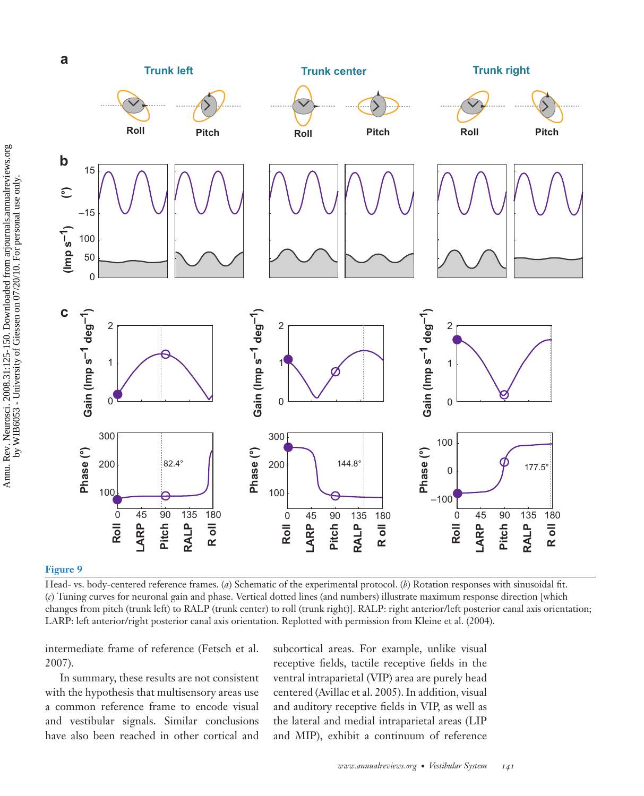

#### **Figure 9**

Head- vs. body-centered reference frames. (*a*) Schematic of the experimental protocol. (*b*) Rotation responses with sinusoidal fit. (*c*) Tuning curves for neuronal gain and phase. Vertical dotted lines (and numbers) illustrate maximum response direction [which changes from pitch (trunk left) to RALP (trunk center) to roll (trunk right)]. RALP: right anterior/left posterior canal axis orientation; LARP: left anterior/right posterior canal axis orientation. Replotted with permission from Kleine et al. (2004).

intermediate frame of reference (Fetsch et al. 2007).

In summary, these results are not consistent with the hypothesis that multisensory areas use a common reference frame to encode visual and vestibular signals. Similar conclusions have also been reached in other cortical and

subcortical areas. For example, unlike visual receptive fields, tactile receptive fields in the ventral intraparietal (VIP) area are purely head centered (Avillac et al. 2005). In addition, visual and auditory receptive fields in VIP, as well as the lateral and medial intraparietal areas (LIP and MIP), exhibit a continuum of reference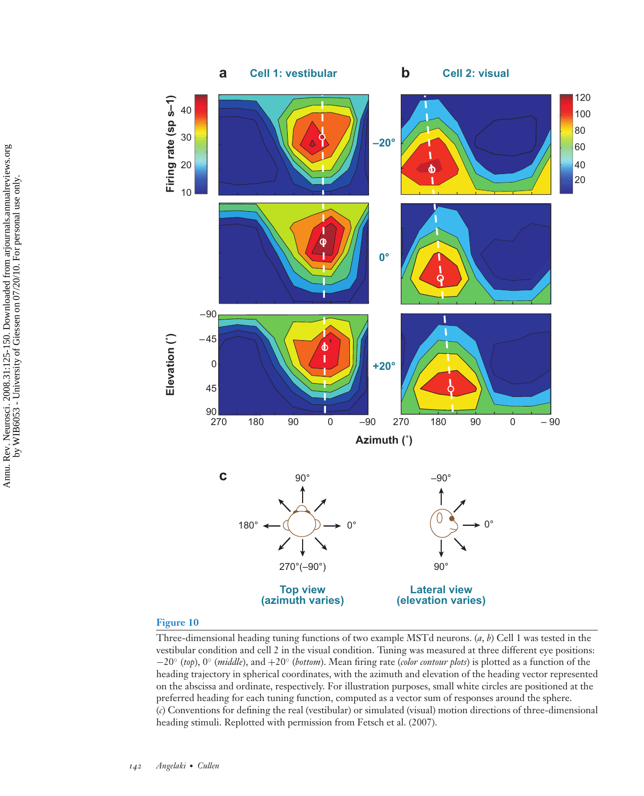

#### **Figure 10**

Three-dimensional heading tuning functions of two example MSTd neurons. (*a*, *b*) Cell 1 was tested in the vestibular condition and cell 2 in the visual condition. Tuning was measured at three different eye positions: −20◦ (*top*), 0◦ (*middle*), and +20◦ (*bottom*). Mean firing rate (*color contour plots*) is plotted as a function of the heading trajectory in spherical coordinates, with the azimuth and elevation of the heading vector represented on the abscissa and ordinate, respectively. For illustration purposes, small white circles are positioned at the preferred heading for each tuning function, computed as a vector sum of responses around the sphere. (*c*) Conventions for defining the real (vestibular) or simulated (visual) motion directions of three-dimensional heading stimuli. Replotted with permission from Fetsch et al. (2007).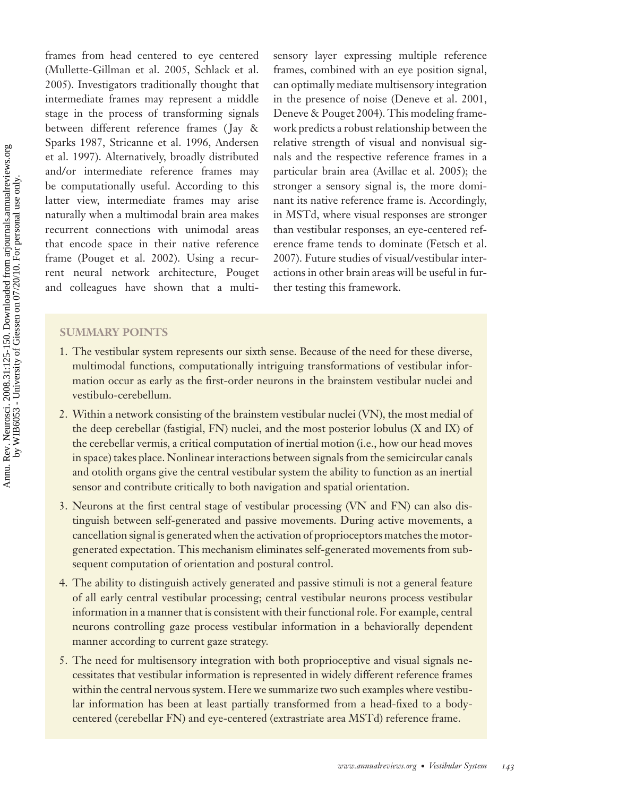frames from head centered to eye centered (Mullette-Gillman et al. 2005, Schlack et al. 2005). Investigators traditionally thought that intermediate frames may represent a middle stage in the process of transforming signals between different reference frames ( Jay & Sparks 1987, Stricanne et al. 1996, Andersen et al. 1997). Alternatively, broadly distributed and/or intermediate reference frames may be computationally useful. According to this latter view, intermediate frames may arise naturally when a multimodal brain area makes recurrent connections with unimodal areas that encode space in their native reference frame (Pouget et al. 2002). Using a recurrent neural network architecture, Pouget and colleagues have shown that a multi-

sensory layer expressing multiple reference frames, combined with an eye position signal, can optimally mediate multisensory integration in the presence of noise (Deneve et al. 2001, Deneve & Pouget 2004). This modeling framework predicts a robust relationship between the relative strength of visual and nonvisual signals and the respective reference frames in a particular brain area (Avillac et al. 2005); the stronger a sensory signal is, the more dominant its native reference frame is. Accordingly, in MSTd, where visual responses are stronger than vestibular responses, an eye-centered reference frame tends to dominate (Fetsch et al. 2007). Future studies of visual/vestibular interactions in other brain areas will be useful in further testing this framework.

#### **SUMMARY POINTS**

- 1. The vestibular system represents our sixth sense. Because of the need for these diverse, multimodal functions, computationally intriguing transformations of vestibular information occur as early as the first-order neurons in the brainstem vestibular nuclei and vestibulo-cerebellum.
- 2. Within a network consisting of the brainstem vestibular nuclei (VN), the most medial of the deep cerebellar (fastigial, FN) nuclei, and the most posterior lobulus (X and IX) of the cerebellar vermis, a critical computation of inertial motion (i.e., how our head moves in space) takes place. Nonlinear interactions between signals from the semicircular canals and otolith organs give the central vestibular system the ability to function as an inertial sensor and contribute critically to both navigation and spatial orientation.
- 3. Neurons at the first central stage of vestibular processing (VN and FN) can also distinguish between self-generated and passive movements. During active movements, a cancellation signal is generated when the activation of proprioceptors matches the motorgenerated expectation. This mechanism eliminates self-generated movements from subsequent computation of orientation and postural control.
- 4. The ability to distinguish actively generated and passive stimuli is not a general feature of all early central vestibular processing; central vestibular neurons process vestibular information in a manner that is consistent with their functional role. For example, central neurons controlling gaze process vestibular information in a behaviorally dependent manner according to current gaze strategy.
- 5. The need for multisensory integration with both proprioceptive and visual signals necessitates that vestibular information is represented in widely different reference frames within the central nervous system. Here we summarize two such examples where vestibular information has been at least partially transformed from a head-fixed to a bodycentered (cerebellar FN) and eye-centered (extrastriate area MSTd) reference frame.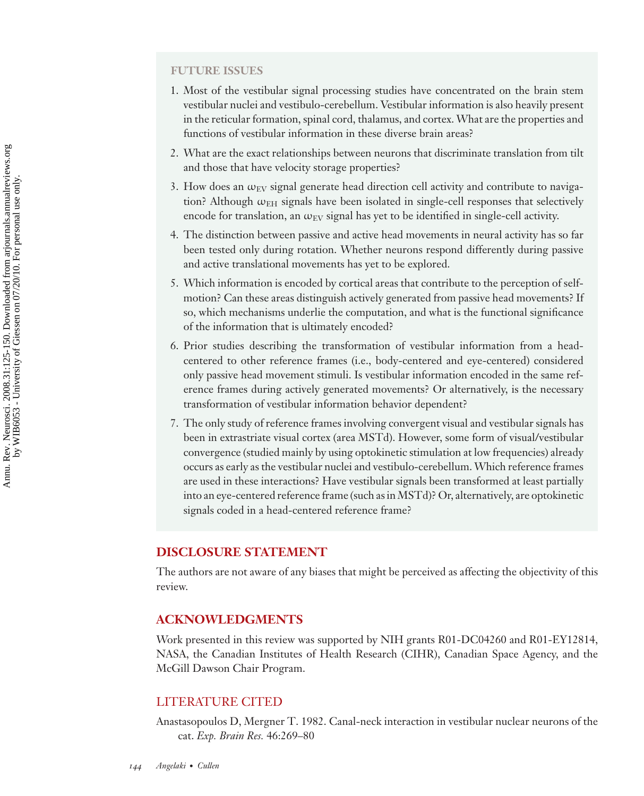#### **FUTURE ISSUES**

- 1. Most of the vestibular signal processing studies have concentrated on the brain stem vestibular nuclei and vestibulo-cerebellum. Vestibular information is also heavily present in the reticular formation, spinal cord, thalamus, and cortex. What are the properties and functions of vestibular information in these diverse brain areas?
- 2. What are the exact relationships between neurons that discriminate translation from tilt and those that have velocity storage properties?
- 3. How does an  $\omega_{\text{EV}}$  signal generate head direction cell activity and contribute to navigation? Although  $\omega_{EH}$  signals have been isolated in single-cell responses that selectively encode for translation, an  $\omega_{EV}$  signal has yet to be identified in single-cell activity.
- 4. The distinction between passive and active head movements in neural activity has so far been tested only during rotation. Whether neurons respond differently during passive and active translational movements has yet to be explored.
- 5. Which information is encoded by cortical areas that contribute to the perception of selfmotion? Can these areas distinguish actively generated from passive head movements? If so, which mechanisms underlie the computation, and what is the functional significance of the information that is ultimately encoded?
- 6. Prior studies describing the transformation of vestibular information from a headcentered to other reference frames (i.e., body-centered and eye-centered) considered only passive head movement stimuli. Is vestibular information encoded in the same reference frames during actively generated movements? Or alternatively, is the necessary transformation of vestibular information behavior dependent?
- 7. The only study of reference frames involving convergent visual and vestibular signals has been in extrastriate visual cortex (area MSTd). However, some form of visual/vestibular convergence (studied mainly by using optokinetic stimulation at low frequencies) already occurs as early as the vestibular nuclei and vestibulo-cerebellum. Which reference frames are used in these interactions? Have vestibular signals been transformed at least partially into an eye-centered reference frame (such as in MSTd)? Or, alternatively, are optokinetic signals coded in a head-centered reference frame?

## **DISCLOSURE STATEMENT**

The authors are not aware of any biases that might be perceived as affecting the objectivity of this review.

#### **ACKNOWLEDGMENTS**

Work presented in this review was supported by NIH grants R01-DC04260 and R01-EY12814, NASA, the Canadian Institutes of Health Research (CIHR), Canadian Space Agency, and the McGill Dawson Chair Program.

#### LITERATURE CITED

Anastasopoulos D, Mergner T. 1982. Canal-neck interaction in vestibular nuclear neurons of the cat. *Exp. Brain Res.* 46:269–80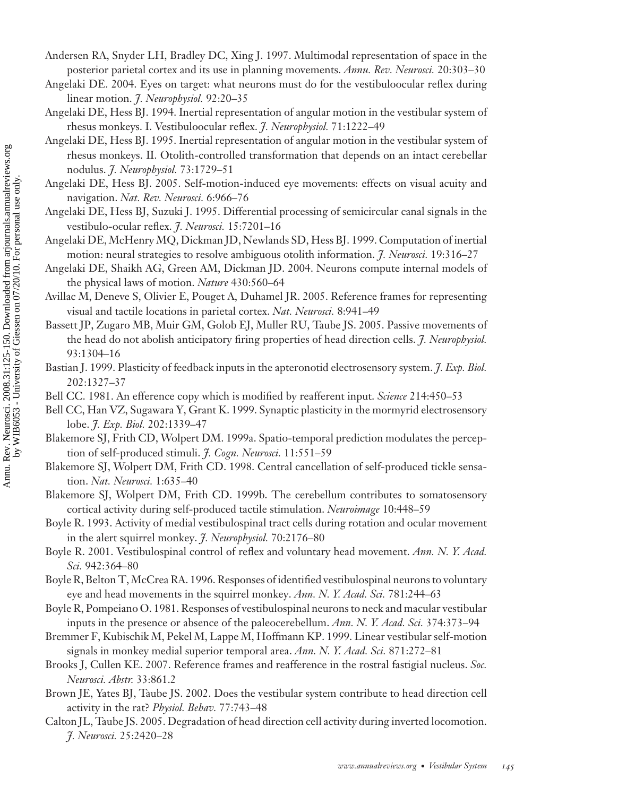- Andersen RA, Snyder LH, Bradley DC, Xing J. 1997. Multimodal representation of space in the posterior parietal cortex and its use in planning movements. *Annu. Rev. Neurosci.* 20:303–30
- Angelaki DE. 2004. Eyes on target: what neurons must do for the vestibuloocular reflex during linear motion. *J. Neurophysiol.* 92:20–35
- Angelaki DE, Hess BJ. 1994. Inertial representation of angular motion in the vestibular system of rhesus monkeys. I. Vestibuloocular reflex. *J. Neurophysiol.* 71:1222–49
- Angelaki DE, Hess BJ. 1995. Inertial representation of angular motion in the vestibular system of rhesus monkeys. II. Otolith-controlled transformation that depends on an intact cerebellar nodulus. *J. Neurophysiol.* 73:1729–51
- Angelaki DE, Hess BJ. 2005. Self-motion-induced eye movements: effects on visual acuity and navigation. *Nat. Rev. Neurosci.* 6:966–76
- Angelaki DE, Hess BJ, Suzuki J. 1995. Differential processing of semicircular canal signals in the vestibulo-ocular reflex. *J. Neurosci.* 15:7201–16
- Angelaki DE, McHenry MQ, Dickman JD, Newlands SD, Hess BJ. 1999. Computation of inertial motion: neural strategies to resolve ambiguous otolith information. *J. Neurosci.* 19:316–27
- Angelaki DE, Shaikh AG, Green AM, Dickman JD. 2004. Neurons compute internal models of the physical laws of motion. *Nature* 430:560–64
- Avillac M, Deneve S, Olivier E, Pouget A, Duhamel JR. 2005. Reference frames for representing visual and tactile locations in parietal cortex. *Nat. Neurosci.* 8:941–49
- Bassett JP, Zugaro MB, Muir GM, Golob EJ, Muller RU, Taube JS. 2005. Passive movements of the head do not abolish anticipatory firing properties of head direction cells. *J. Neurophysiol.* 93:1304–16
- Bastian J. 1999. Plasticity of feedback inputs in the apteronotid electrosensory system. *J. Exp. Biol.* 202:1327–37
- Bell CC. 1981. An efference copy which is modified by reafferent input. *Science* 214:450–53
- Bell CC, Han VZ, Sugawara Y, Grant K. 1999. Synaptic plasticity in the mormyrid electrosensory lobe. *J. Exp. Biol.* 202:1339–47
- Blakemore SJ, Frith CD, Wolpert DM. 1999a. Spatio-temporal prediction modulates the perception of self-produced stimuli. *J. Cogn. Neurosci.* 11:551–59
- Blakemore SJ, Wolpert DM, Frith CD. 1998. Central cancellation of self-produced tickle sensation. *Nat. Neurosci.* 1:635–40
- Blakemore SJ, Wolpert DM, Frith CD. 1999b. The cerebellum contributes to somatosensory cortical activity during self-produced tactile stimulation. *Neuroimage* 10:448–59
- Boyle R. 1993. Activity of medial vestibulospinal tract cells during rotation and ocular movement in the alert squirrel monkey. *J. Neurophysiol.* 70:2176–80
- Boyle R. 2001. Vestibulospinal control of reflex and voluntary head movement. *Ann. N. Y. Acad. Sci.* 942:364–80
- Boyle R, Belton T, McCrea RA. 1996. Responses of identified vestibulospinal neurons to voluntary eye and head movements in the squirrel monkey. *Ann. N. Y. Acad. Sci.* 781:244–63
- Boyle R, Pompeiano O. 1981. Responses of vestibulospinal neurons to neck and macular vestibular inputs in the presence or absence of the paleocerebellum. *Ann. N. Y. Acad. Sci.* 374:373–94
- Bremmer F, Kubischik M, Pekel M, Lappe M, Hoffmann KP. 1999. Linear vestibular self-motion signals in monkey medial superior temporal area. *Ann. N. Y. Acad. Sci.* 871:272–81
- Brooks J, Cullen KE. 2007. Reference frames and reafference in the rostral fastigial nucleus. *Soc. Neurosci. Abstr.* 33:861.2
- Brown JE, Yates BJ, Taube JS. 2002. Does the vestibular system contribute to head direction cell activity in the rat? *Physiol. Behav.* 77:743–48
- Calton JL, Taube JS. 2005. Degradation of head direction cell activity during inverted locomotion. *J. Neurosci.* 25:2420–28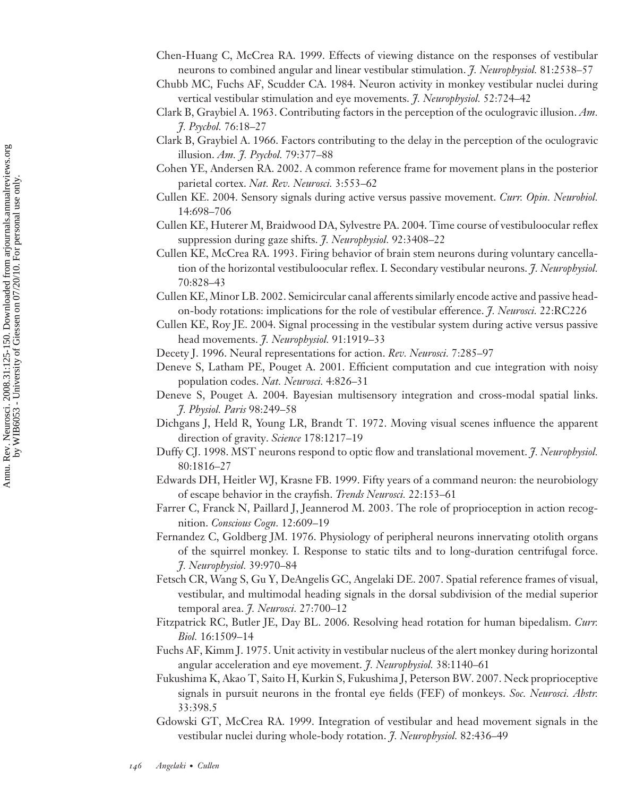- Chen-Huang C, McCrea RA. 1999. Effects of viewing distance on the responses of vestibular neurons to combined angular and linear vestibular stimulation. *J. Neurophysiol.* 81:2538–57
- Chubb MC, Fuchs AF, Scudder CA. 1984. Neuron activity in monkey vestibular nuclei during vertical vestibular stimulation and eye movements. *J. Neurophysiol.* 52:724–42
- Clark B, Graybiel A. 1963. Contributing factors in the perception of the oculogravic illusion. *Am. J. Psychol.* 76:18–27
- Clark B, Graybiel A. 1966. Factors contributing to the delay in the perception of the oculogravic illusion. *Am. J. Psychol.* 79:377–88
- Cohen YE, Andersen RA. 2002. A common reference frame for movement plans in the posterior parietal cortex. *Nat. Rev. Neurosci.* 3:553–62
- Cullen KE. 2004. Sensory signals during active versus passive movement. *Curr. Opin. Neurobiol.* 14:698–706
- Cullen KE, Huterer M, Braidwood DA, Sylvestre PA. 2004. Time course of vestibuloocular reflex suppression during gaze shifts. *J. Neurophysiol.* 92:3408–22
- Cullen KE, McCrea RA. 1993. Firing behavior of brain stem neurons during voluntary cancellation of the horizontal vestibuloocular reflex. I. Secondary vestibular neurons. *J. Neurophysiol.* 70:828–43
- Cullen KE, Minor LB. 2002. Semicircular canal afferents similarly encode active and passive headon-body rotations: implications for the role of vestibular efference. *J. Neurosci.* 22:RC226
- Cullen KE, Roy JE. 2004. Signal processing in the vestibular system during active versus passive head movements. *J. Neurophysiol.* 91:1919–33
- Decety J. 1996. Neural representations for action. *Rev. Neurosci.* 7:285–97
- Deneve S, Latham PE, Pouget A. 2001. Efficient computation and cue integration with noisy population codes. *Nat. Neurosci.* 4:826–31
- Deneve S, Pouget A. 2004. Bayesian multisensory integration and cross-modal spatial links. *J. Physiol. Paris* 98:249–58
- Dichgans J, Held R, Young LR, Brandt T. 1972. Moving visual scenes influence the apparent direction of gravity. *Science* 178:1217–19
- Duffy CJ. 1998. MST neurons respond to optic flow and translational movement. *J. Neurophysiol.* 80:1816–27
- Edwards DH, Heitler WJ, Krasne FB. 1999. Fifty years of a command neuron: the neurobiology of escape behavior in the crayfish. *Trends Neurosci.* 22:153–61
- Farrer C, Franck N, Paillard J, Jeannerod M. 2003. The role of proprioception in action recognition. *Conscious Cogn.* 12:609–19
- Fernandez C, Goldberg JM. 1976. Physiology of peripheral neurons innervating otolith organs of the squirrel monkey. I. Response to static tilts and to long-duration centrifugal force. *J. Neurophysiol.* 39:970–84
- Fetsch CR, Wang S, Gu Y, DeAngelis GC, Angelaki DE. 2007. Spatial reference frames of visual, vestibular, and multimodal heading signals in the dorsal subdivision of the medial superior temporal area. *J. Neurosci.* 27:700–12
- Fitzpatrick RC, Butler JE, Day BL. 2006. Resolving head rotation for human bipedalism. *Curr. Biol.* 16:1509–14
- Fuchs AF, Kimm J. 1975. Unit activity in vestibular nucleus of the alert monkey during horizontal angular acceleration and eye movement. *J. Neurophysiol.* 38:1140–61
- Fukushima K, Akao T, Saito H, Kurkin S, Fukushima J, Peterson BW. 2007. Neck proprioceptive signals in pursuit neurons in the frontal eye fields (FEF) of monkeys. *Soc. Neurosci. Abstr.* 33:398.5
- Gdowski GT, McCrea RA. 1999. Integration of vestibular and head movement signals in the vestibular nuclei during whole-body rotation. *J. Neurophysiol.* 82:436–49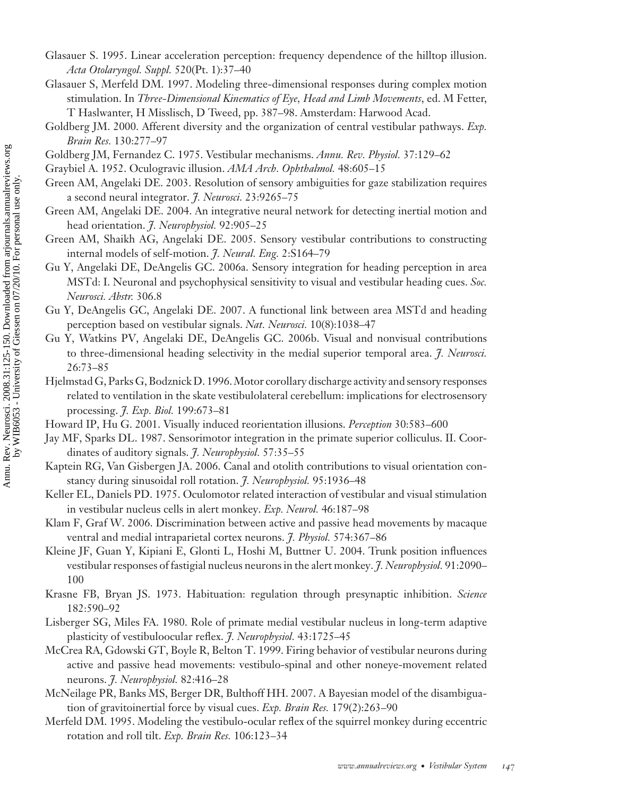- Glasauer S. 1995. Linear acceleration perception: frequency dependence of the hilltop illusion. *Acta Otolaryngol. Suppl.* 520(Pt. 1):37–40
- Glasauer S, Merfeld DM. 1997. Modeling three-dimensional responses during complex motion stimulation. In *Three-Dimensional Kinematics of Eye, Head and Limb Movements*, ed. M Fetter, T Haslwanter, H Misslisch, D Tweed, pp. 387–98. Amsterdam: Harwood Acad.
- Goldberg JM. 2000. Afferent diversity and the organization of central vestibular pathways. *Exp. Brain Res.* 130:277–97
- Goldberg JM, Fernandez C. 1975. Vestibular mechanisms. *Annu. Rev. Physiol.* 37:129–62
- Graybiel A. 1952. Oculogravic illusion. *AMA Arch. Ophthalmol.* 48:605–15
- Green AM, Angelaki DE. 2003. Resolution of sensory ambiguities for gaze stabilization requires a second neural integrator. *J. Neurosci.* 23:9265–75
- Green AM, Angelaki DE. 2004. An integrative neural network for detecting inertial motion and head orientation. *J. Neurophysiol.* 92:905–25
- Green AM, Shaikh AG, Angelaki DE. 2005. Sensory vestibular contributions to constructing internal models of self-motion. *J. Neural. Eng.* 2:S164–79
- Gu Y, Angelaki DE, DeAngelis GC. 2006a. Sensory integration for heading perception in area MSTd: I. Neuronal and psychophysical sensitivity to visual and vestibular heading cues. *Soc. Neurosci. Abstr.* 306.8
- Gu Y, DeAngelis GC, Angelaki DE. 2007. A functional link between area MSTd and heading perception based on vestibular signals. *Nat. Neurosci.* 10(8):1038–47
- Gu Y, Watkins PV, Angelaki DE, DeAngelis GC. 2006b. Visual and nonvisual contributions to three-dimensional heading selectivity in the medial superior temporal area. *J. Neurosci.* 26:73–85
- Hjelmstad G, Parks G, Bodznick D. 1996. Motor corollary discharge activity and sensory responses related to ventilation in the skate vestibulolateral cerebellum: implications for electrosensory processing. *J. Exp. Biol.* 199:673–81
- Howard IP, Hu G. 2001. Visually induced reorientation illusions. *Perception* 30:583–600
- Jay MF, Sparks DL. 1987. Sensorimotor integration in the primate superior colliculus. II. Coordinates of auditory signals. *J. Neurophysiol.* 57:35–55
- Kaptein RG, Van Gisbergen JA. 2006. Canal and otolith contributions to visual orientation constancy during sinusoidal roll rotation. *J. Neurophysiol.* 95:1936–48
- Keller EL, Daniels PD. 1975. Oculomotor related interaction of vestibular and visual stimulation in vestibular nucleus cells in alert monkey. *Exp. Neurol.* 46:187–98
- Klam F, Graf W. 2006. Discrimination between active and passive head movements by macaque ventral and medial intraparietal cortex neurons. *J. Physiol.* 574:367–86
- Kleine JF, Guan Y, Kipiani E, Glonti L, Hoshi M, Buttner U. 2004. Trunk position influences vestibular responses of fastigial nucleus neurons in the alert monkey. *J. Neurophysiol.* 91:2090– 100
- Krasne FB, Bryan JS. 1973. Habituation: regulation through presynaptic inhibition. *Science* 182:590–92
- Lisberger SG, Miles FA. 1980. Role of primate medial vestibular nucleus in long-term adaptive plasticity of vestibuloocular reflex. *J. Neurophysiol.* 43:1725–45
- McCrea RA, Gdowski GT, Boyle R, Belton T. 1999. Firing behavior of vestibular neurons during active and passive head movements: vestibulo-spinal and other noneye-movement related neurons. *J. Neurophysiol.* 82:416–28
- McNeilage PR, Banks MS, Berger DR, Bulthoff HH. 2007. A Bayesian model of the disambiguation of gravitoinertial force by visual cues. *Exp. Brain Res.* 179(2):263–90
- Merfeld DM. 1995. Modeling the vestibulo-ocular reflex of the squirrel monkey during eccentric rotation and roll tilt. *Exp. Brain Res.* 106:123–34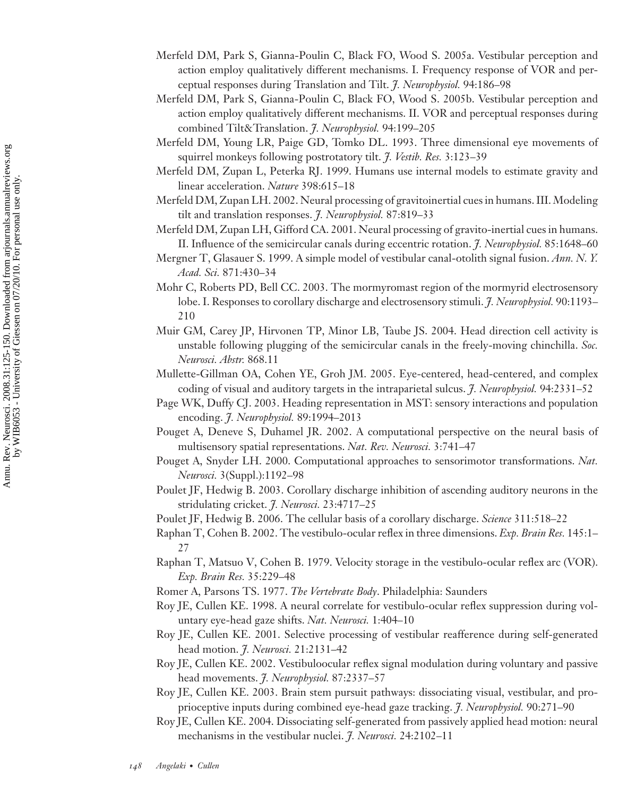- Merfeld DM, Park S, Gianna-Poulin C, Black FO, Wood S. 2005a. Vestibular perception and action employ qualitatively different mechanisms. I. Frequency response of VOR and perceptual responses during Translation and Tilt. *J. Neurophysiol.* 94:186–98
- Merfeld DM, Park S, Gianna-Poulin C, Black FO, Wood S. 2005b. Vestibular perception and action employ qualitatively different mechanisms. II. VOR and perceptual responses during combined Tilt&Translation. *J. Neurophysiol.* 94:199–205
- Merfeld DM, Young LR, Paige GD, Tomko DL. 1993. Three dimensional eye movements of squirrel monkeys following postrotatory tilt. *J. Vestib. Res.* 3:123–39
- Merfeld DM, Zupan L, Peterka RJ. 1999. Humans use internal models to estimate gravity and linear acceleration. *Nature* 398:615–18
- Merfeld DM, Zupan LH. 2002. Neural processing of gravitoinertial cues in humans. III. Modeling tilt and translation responses. *J. Neurophysiol.* 87:819–33
- Merfeld DM, Zupan LH, Gifford CA. 2001. Neural processing of gravito-inertial cues in humans. II. Influence of the semicircular canals during eccentric rotation. *J. Neurophysiol.* 85:1648–60
- Mergner T, Glasauer S. 1999. A simple model of vestibular canal-otolith signal fusion. *Ann. N. Y. Acad. Sci.* 871:430–34
- Mohr C, Roberts PD, Bell CC. 2003. The mormyromast region of the mormyrid electrosensory lobe. I. Responses to corollary discharge and electrosensory stimuli. *J. Neurophysiol.* 90:1193– 210
- Muir GM, Carey JP, Hirvonen TP, Minor LB, Taube JS. 2004. Head direction cell activity is unstable following plugging of the semicircular canals in the freely-moving chinchilla. *Soc. Neurosci. Abstr.* 868.11
- Mullette-Gillman OA, Cohen YE, Groh JM. 2005. Eye-centered, head-centered, and complex coding of visual and auditory targets in the intraparietal sulcus. *J. Neurophysiol.* 94:2331–52
- Page WK, Duffy CJ. 2003. Heading representation in MST: sensory interactions and population encoding. *J. Neurophysiol.* 89:1994–2013
- Pouget A, Deneve S, Duhamel JR. 2002. A computational perspective on the neural basis of multisensory spatial representations. *Nat. Rev. Neurosci.* 3:741–47
- Pouget A, Snyder LH. 2000. Computational approaches to sensorimotor transformations. *Nat. Neurosci.* 3(Suppl.):1192–98
- Poulet JF, Hedwig B. 2003. Corollary discharge inhibition of ascending auditory neurons in the stridulating cricket. *J. Neurosci.* 23:4717–25
- Poulet JF, Hedwig B. 2006. The cellular basis of a corollary discharge. *Science* 311:518–22
- Raphan T, Cohen B. 2002. The vestibulo-ocular reflex in three dimensions. *Exp. Brain Res.* 145:1– 27
- Raphan T, Matsuo V, Cohen B. 1979. Velocity storage in the vestibulo-ocular reflex arc (VOR). *Exp. Brain Res.* 35:229–48
- Romer A, Parsons TS. 1977. *The Vertebrate Body*. Philadelphia: Saunders
- Roy JE, Cullen KE. 1998. A neural correlate for vestibulo-ocular reflex suppression during voluntary eye-head gaze shifts. *Nat. Neurosci.* 1:404–10
- Roy JE, Cullen KE. 2001. Selective processing of vestibular reafference during self-generated head motion. *J. Neurosci.* 21:2131–42
- Roy JE, Cullen KE. 2002. Vestibuloocular reflex signal modulation during voluntary and passive head movements. *J. Neurophysiol.* 87:2337–57
- Roy JE, Cullen KE. 2003. Brain stem pursuit pathways: dissociating visual, vestibular, and proprioceptive inputs during combined eye-head gaze tracking. *J. Neurophysiol.* 90:271–90
- Roy JE, Cullen KE. 2004. Dissociating self-generated from passively applied head motion: neural mechanisms in the vestibular nuclei. *J. Neurosci.* 24:2102–11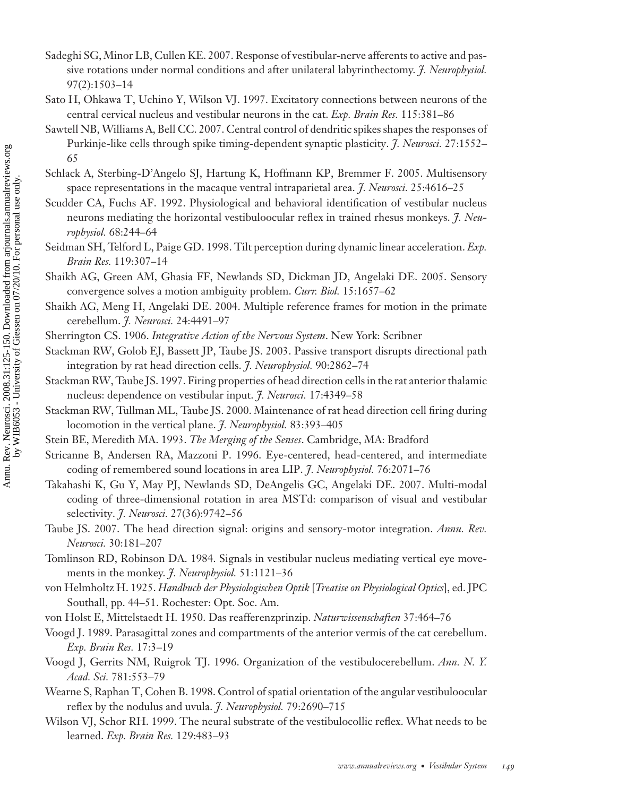- Sadeghi SG, Minor LB, Cullen KE. 2007. Response of vestibular-nerve afferents to active and passive rotations under normal conditions and after unilateral labyrinthectomy. *J. Neurophysiol.* 97(2):1503–14
- Sato H, Ohkawa T, Uchino Y, Wilson VJ. 1997. Excitatory connections between neurons of the central cervical nucleus and vestibular neurons in the cat. *Exp. Brain Res.* 115:381–86
- Sawtell NB, Williams A, Bell CC. 2007. Central control of dendritic spikes shapes the responses of Purkinje-like cells through spike timing-dependent synaptic plasticity. *J. Neurosci.* 27:1552– 65
- Schlack A, Sterbing-D'Angelo SJ, Hartung K, Hoffmann KP, Bremmer F. 2005. Multisensory space representations in the macaque ventral intraparietal area. *J. Neurosci.* 25:4616–25
- Scudder CA, Fuchs AF. 1992. Physiological and behavioral identification of vestibular nucleus neurons mediating the horizontal vestibuloocular reflex in trained rhesus monkeys. *J. Neurophysiol.* 68:244–64
- Seidman SH, Telford L, Paige GD. 1998. Tilt perception during dynamic linear acceleration. *Exp. Brain Res.* 119:307–14
- Shaikh AG, Green AM, Ghasia FF, Newlands SD, Dickman JD, Angelaki DE. 2005. Sensory convergence solves a motion ambiguity problem. *Curr. Biol.* 15:1657–62
- Shaikh AG, Meng H, Angelaki DE. 2004. Multiple reference frames for motion in the primate cerebellum. *J. Neurosci.* 24:4491–97
- Sherrington CS. 1906. *Integrative Action of the Nervous System*. New York: Scribner
- Stackman RW, Golob EJ, Bassett JP, Taube JS. 2003. Passive transport disrupts directional path integration by rat head direction cells. *J. Neurophysiol.* 90:2862–74
- Stackman RW, Taube JS. 1997. Firing properties of head direction cells in the rat anterior thalamic nucleus: dependence on vestibular input. *J. Neurosci.* 17:4349–58
- Stackman RW, Tullman ML, Taube JS. 2000. Maintenance of rat head direction cell firing during locomotion in the vertical plane. *J. Neurophysiol.* 83:393–405
- Stein BE, Meredith MA. 1993. *The Merging of the Senses*. Cambridge, MA: Bradford
- Stricanne B, Andersen RA, Mazzoni P. 1996. Eye-centered, head-centered, and intermediate coding of remembered sound locations in area LIP. *J. Neurophysiol.* 76:2071–76
- Takahashi K, Gu Y, May PJ, Newlands SD, DeAngelis GC, Angelaki DE. 2007. Multi-modal coding of three-dimensional rotation in area MSTd: comparison of visual and vestibular selectivity. *J. Neurosci.* 27(36):9742–56
- Taube JS. 2007. The head direction signal: origins and sensory-motor integration. *Annu. Rev. Neurosci.* 30:181–207
- Tomlinson RD, Robinson DA. 1984. Signals in vestibular nucleus mediating vertical eye movements in the monkey. *J. Neurophysiol.* 51:1121–36
- von Helmholtz H. 1925. *Handbuch der Physiologischen Optik* [*Treatise on Physiological Optics*], ed. JPC Southall, pp. 44–51. Rochester: Opt. Soc. Am.
- von Holst E, Mittelstaedt H. 1950. Das reafferenzprinzip. *Naturwissenschaften* 37:464–76
- Voogd J. 1989. Parasagittal zones and compartments of the anterior vermis of the cat cerebellum. *Exp. Brain Res.* 17:3–19
- Voogd J, Gerrits NM, Ruigrok TJ. 1996. Organization of the vestibulocerebellum. *Ann. N. Y. Acad. Sci.* 781:553–79
- Wearne S, Raphan T, Cohen B. 1998. Control of spatial orientation of the angular vestibuloocular reflex by the nodulus and uvula. *J. Neurophysiol.* 79:2690–715
- Wilson VJ, Schor RH. 1999. The neural substrate of the vestibulocollic reflex. What needs to be learned. *Exp. Brain Res.* 129:483–93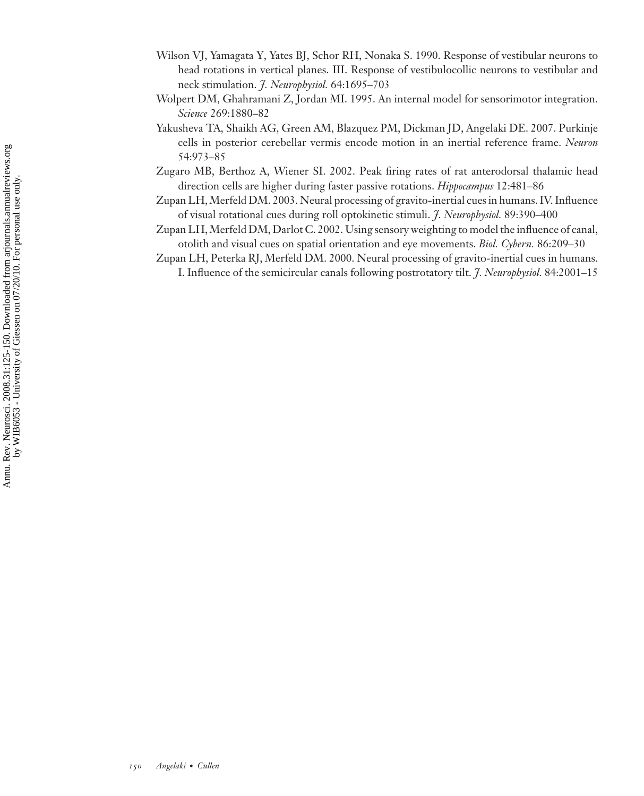- Wilson VJ, Yamagata Y, Yates BJ, Schor RH, Nonaka S. 1990. Response of vestibular neurons to head rotations in vertical planes. III. Response of vestibulocollic neurons to vestibular and neck stimulation. *J. Neurophysiol.* 64:1695–703
- Wolpert DM, Ghahramani Z, Jordan MI. 1995. An internal model for sensorimotor integration. *Science* 269:1880–82
- Yakusheva TA, Shaikh AG, Green AM, Blazquez PM, Dickman JD, Angelaki DE. 2007. Purkinje cells in posterior cerebellar vermis encode motion in an inertial reference frame. *Neuron* 54:973–85
- Zugaro MB, Berthoz A, Wiener SI. 2002. Peak firing rates of rat anterodorsal thalamic head direction cells are higher during faster passive rotations. *Hippocampus* 12:481–86
- Zupan LH, Merfeld DM. 2003. Neural processing of gravito-inertial cues in humans. IV. Influence of visual rotational cues during roll optokinetic stimuli. *J. Neurophysiol.* 89:390–400
- Zupan LH, Merfeld DM, Darlot C. 2002. Using sensory weighting to model the influence of canal, otolith and visual cues on spatial orientation and eye movements. *Biol. Cybern.* 86:209–30
- Zupan LH, Peterka RJ, Merfeld DM. 2000. Neural processing of gravito-inertial cues in humans. I. Influence of the semicircular canals following postrotatory tilt. *J. Neurophysiol.* 84:2001–15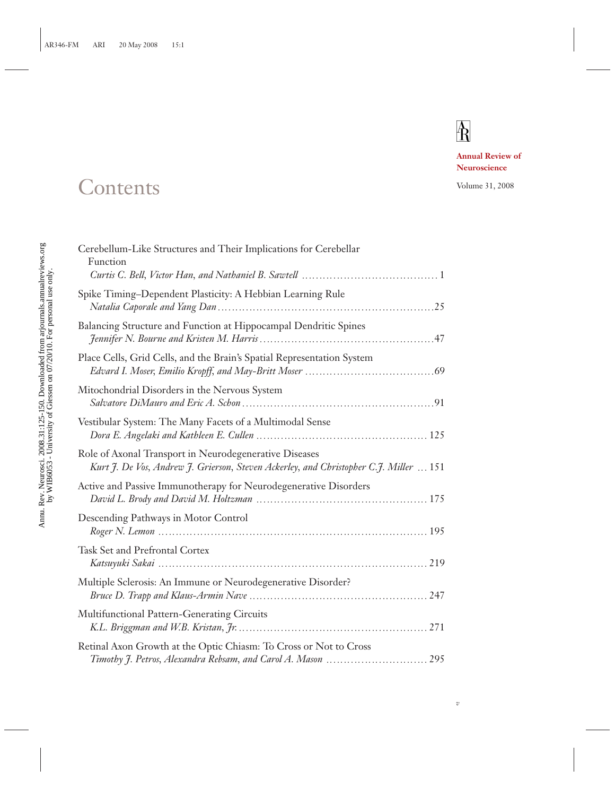*v*

**Annual Review of Neuroscience**

# Contents Volume 31, 2008

| Cerebellum-Like Structures and Their Implications for Cerebellar<br>Function                                                                    |
|-------------------------------------------------------------------------------------------------------------------------------------------------|
| Spike Timing-Dependent Plasticity: A Hebbian Learning Rule                                                                                      |
| Balancing Structure and Function at Hippocampal Dendritic Spines                                                                                |
| Place Cells, Grid Cells, and the Brain's Spatial Representation System                                                                          |
| Mitochondrial Disorders in the Nervous System                                                                                                   |
| Vestibular System: The Many Facets of a Multimodal Sense                                                                                        |
| Role of Axonal Transport in Neurodegenerative Diseases<br>Kurt J. De Vos, Andrew J. Grierson, Steven Ackerley, and Christopher C.J. Miller  151 |
| Active and Passive Immunotherapy for Neurodegenerative Disorders                                                                                |
| Descending Pathways in Motor Control                                                                                                            |
| Task Set and Prefrontal Cortex                                                                                                                  |
| Multiple Sclerosis: An Immune or Neurodegenerative Disorder?<br>247                                                                             |
| Multifunctional Pattern-Generating Circuits                                                                                                     |
| Retinal Axon Growth at the Optic Chiasm: To Cross or Not to Cross                                                                               |
|                                                                                                                                                 |